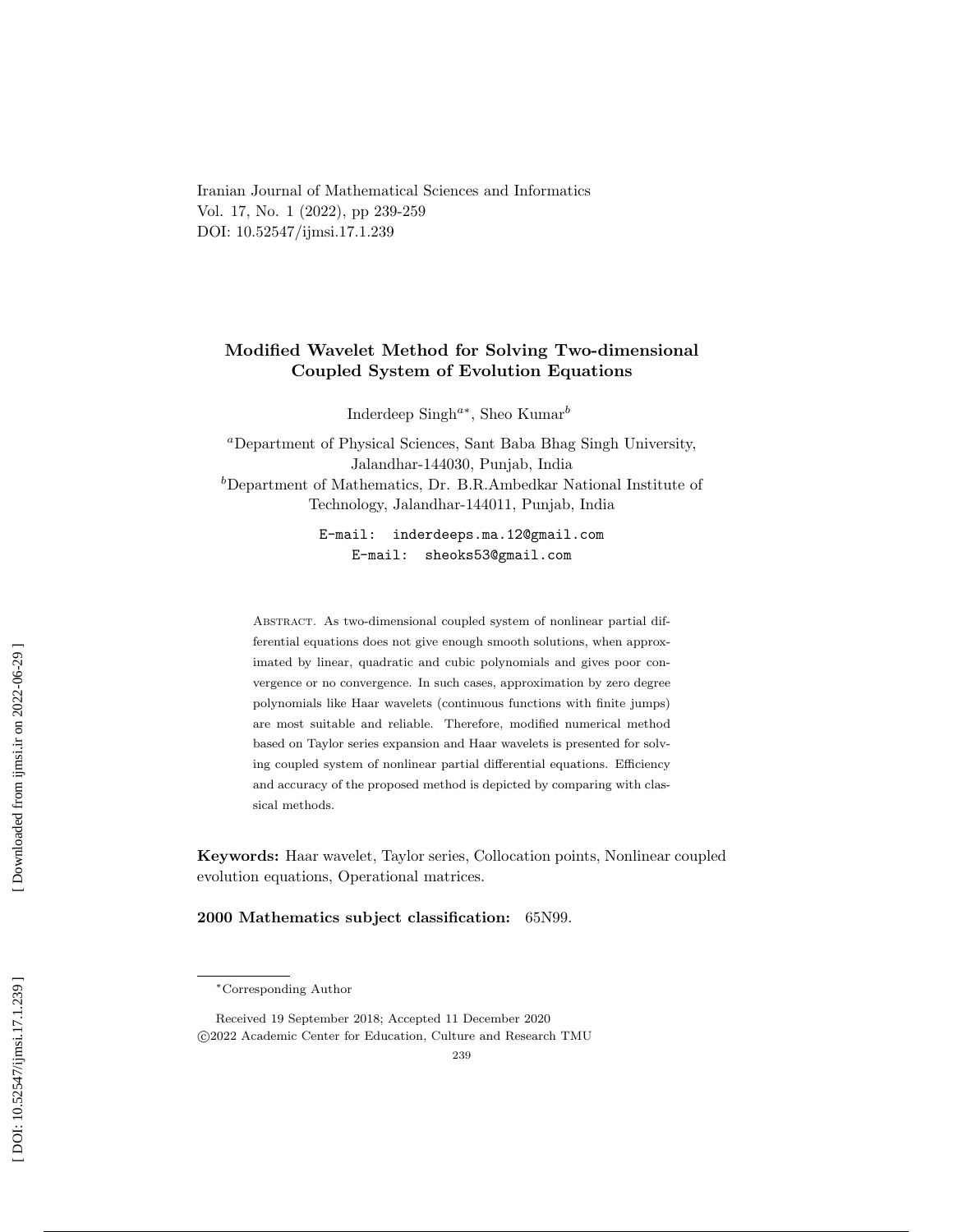Iranian Journal of Mathematical Sciences and Informatics Vol. 17, No. 1 (2022), pp 239-259 DOI: 10.52547/ijmsi.17.1.239

# Modified Wavelet Method for Solving Two-dimensional Coupled System of Evolution Equations

Inderdeep Singh<sup>a\*</sup>, Sheo Kumar<sup>b</sup>

<sup>a</sup>Department of Physical Sciences, Sant Baba Bhag Singh University, Jalandhar-144030, Punjab, India  $b$ Department of Mathematics, Dr. B.R.Ambedkar National Institute of Technology, Jalandhar-144011, Punjab, India

> E-mail: inderdeeps.ma.12@gmail.com E-mail: sheoks53@gmail.com

Abstract. As two-dimensional coupled system of nonlinear partial differential equations does not give enough smooth solutions, when approximated by linear, quadratic and cubic polynomials and gives poor convergence or no convergence. In such cases, approximation by zero degree polynomials like Haar wavelets (continuous functions with finite jumps) are most suitable and reliable. Therefore, modified numerical method based on Taylor series expansion and Haar wavelets is presented for solving coupled system of nonlinear partial differential equations. Efficiency and accuracy of the proposed method is depicted by comparing with classical methods.

Keywords: Haar wavelet, Taylor series, Collocation points, Nonlinear coupled evolution equations, Operational matrices.

2000 Mathematics subject classification: 65N99.

<sup>∗</sup>Corresponding Author

Received 19 September 2018; Accepted 11 December 2020 c 2022 Academic Center for Education, Culture and Research TMU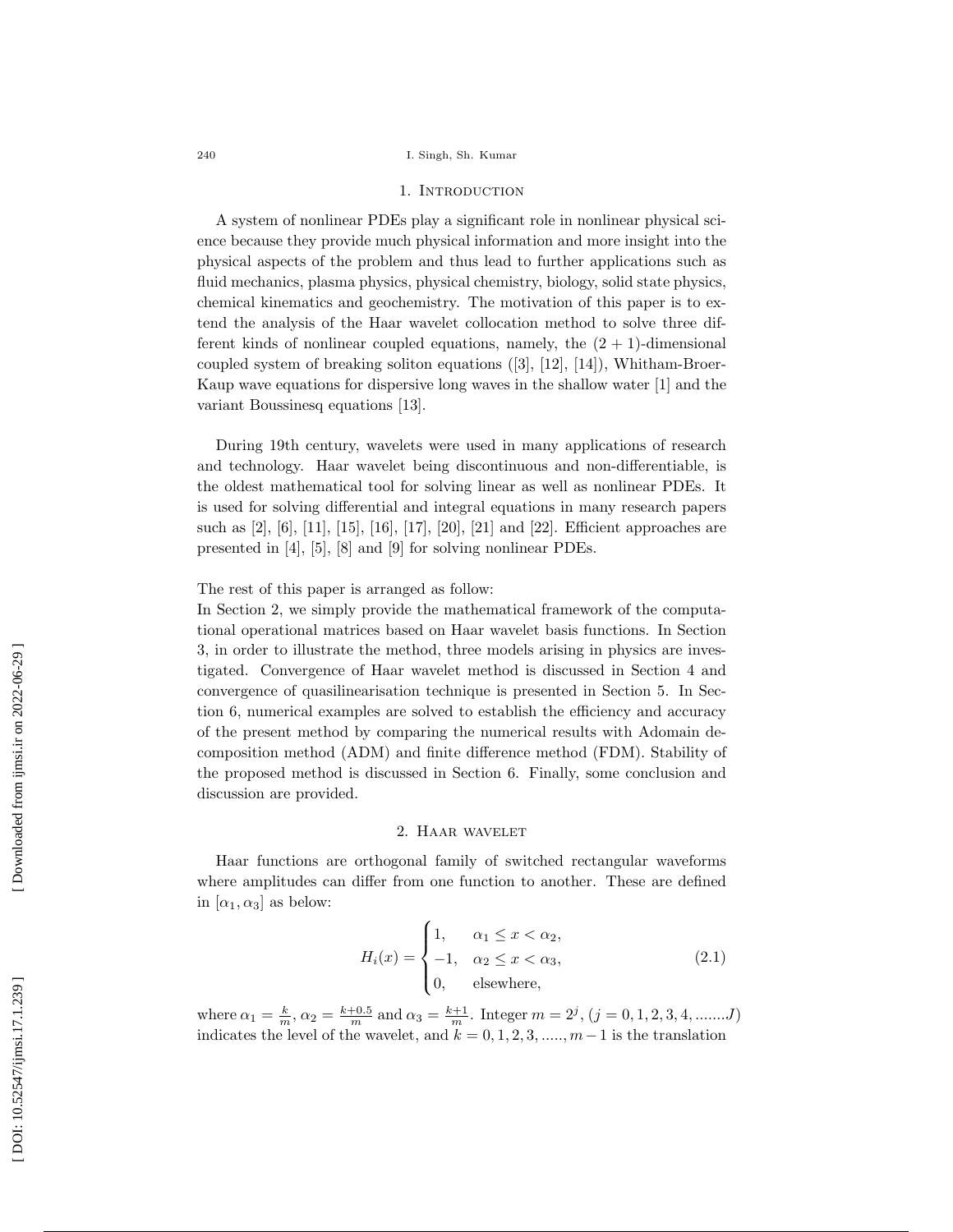#### 240 I. Singh, Sh. Kumar

### 1. INTRODUCTION

A system of nonlinear PDEs play a significant role in nonlinear physical science because they provide much physical information and more insight into the physical aspects of the problem and thus lead to further applications such as fluid mechanics, plasma physics, physical chemistry, biology, solid state physics, chemical kinematics and geochemistry. The motivation of this paper is to extend the analysis of the Haar wavelet collocation method to solve three different kinds of nonlinear coupled equations, namely, the  $(2 + 1)$ -dimensional coupled system of breaking soliton equations ([3], [12], [14]), Whitham-Broer-Kaup wave equations for dispersive long waves in the shallow water [1] and the variant Boussinesq equations [13].

During 19th century, wavelets were used in many applications of research and technology. Haar wavelet being discontinuous and non-differentiable, is the oldest mathematical tool for solving linear as well as nonlinear PDEs. It is used for solving differential and integral equations in many research papers such as [2], [6], [11], [15], [16], [17], [20], [21] and [22]. Efficient approaches are presented in [4], [5], [8] and [9] for solving nonlinear PDEs.

The rest of this paper is arranged as follow:

In Section 2, we simply provide the mathematical framework of the computational operational matrices based on Haar wavelet basis functions. In Section 3, in order to illustrate the method, three models arising in physics are investigated. Convergence of Haar wavelet method is discussed in Section 4 and convergence of quasilinearisation technique is presented in Section 5. In Section 6, numerical examples are solved to establish the efficiency and accuracy of the present method by comparing the numerical results with Adomain decomposition method (ADM) and finite difference method (FDM). Stability of the proposed method is discussed in Section 6. Finally, some conclusion and discussion are provided.

## 2. Haar wavelet

Haar functions are orthogonal family of switched rectangular waveforms where amplitudes can differ from one function to another. These are defined in  $[\alpha_1, \alpha_3]$  as below:

$$
H_i(x) = \begin{cases} 1, & \alpha_1 \leq x < \alpha_2, \\ -1, & \alpha_2 \leq x < \alpha_3, \\ 0, & \text{elsewhere,} \end{cases} \tag{2.1}
$$

where  $\alpha_1 = \frac{k}{m}$ ,  $\alpha_2 = \frac{k+0.5}{m}$  and  $\alpha_3 = \frac{k+1}{m}$ . Integer  $m = 2^j$ ,  $(j = 0, 1, 2, 3, 4, \dots, J)$ indicates the level of the wavelet, and  $k = 0, 1, 2, 3, \dots, m-1$  is the translation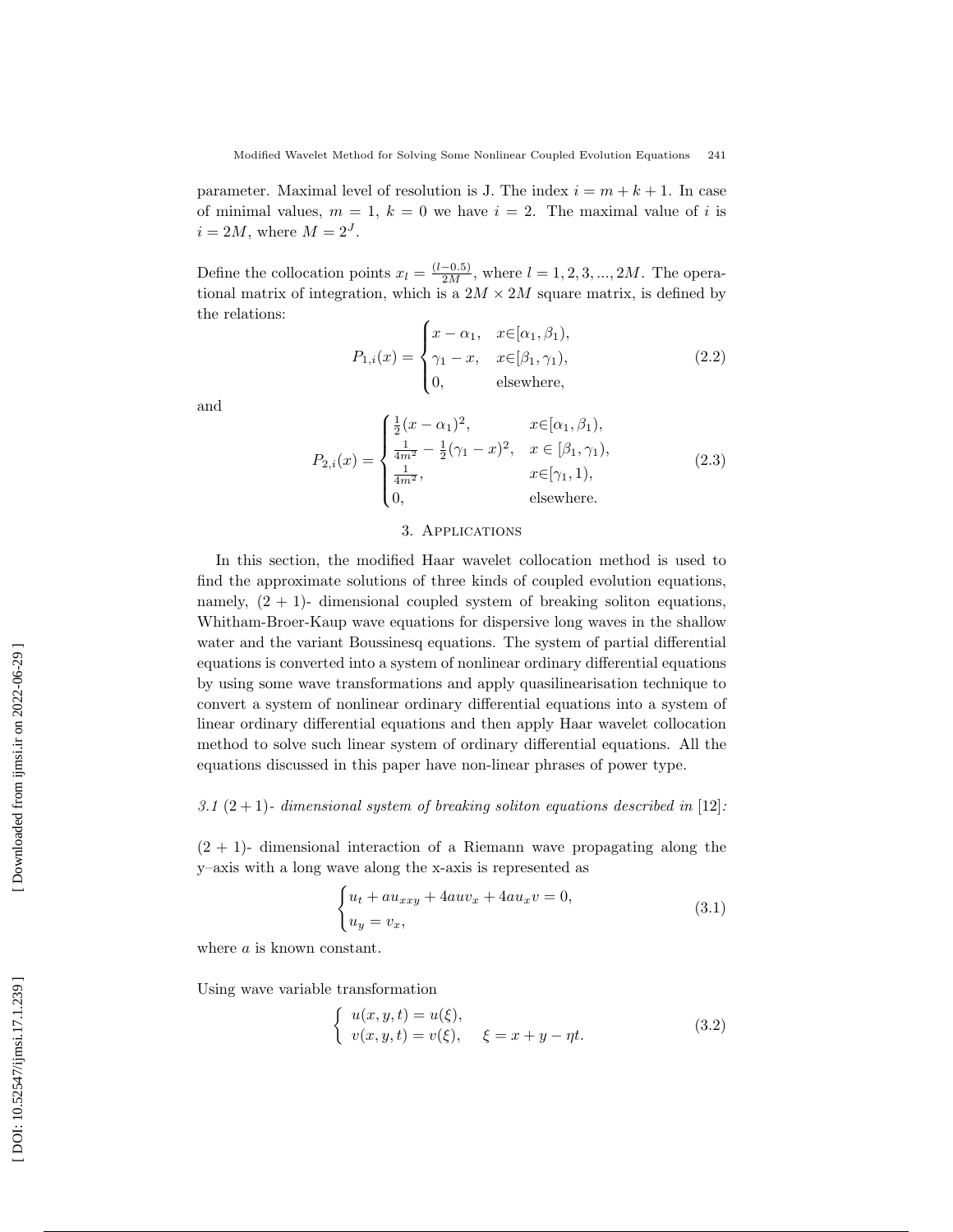parameter. Maximal level of resolution is J. The index  $i = m + k + 1$ . In case of minimal values,  $m = 1$ ,  $k = 0$  we have  $i = 2$ . The maximal value of i is  $i = 2M$ , where  $M = 2<sup>J</sup>$ .

Define the collocation points  $x_l = \frac{(l-0.5)}{2M}$  $\frac{(-0.5)}{2M}$ , where  $l = 1, 2, 3, ..., 2M$ . The operational matrix of integration, which is a  $2M \times 2M$  square matrix, is defined by the relations:

$$
P_{1,i}(x) = \begin{cases} x - \alpha_1, & x \in [\alpha_1, \beta_1), \\ \gamma_1 - x, & x \in [\beta_1, \gamma_1), \\ 0, & \text{elsewhere,} \end{cases}
$$
(2.2)

and

$$
P_{2,i}(x) = \begin{cases} \frac{1}{2}(x - \alpha_1)^2, & x \in [\alpha_1, \beta_1), \\ \frac{1}{4m^2} - \frac{1}{2}(\gamma_1 - x)^2, & x \in [\beta_1, \gamma_1), \\ \frac{1}{4m^2}, & x \in [\gamma_1, 1), \\ 0, & \text{elsewhere.} \end{cases}
$$
(2.3)

## 3. Applications

In this section, the modified Haar wavelet collocation method is used to find the approximate solutions of three kinds of coupled evolution equations, namely,  $(2 + 1)$ - dimensional coupled system of breaking soliton equations, Whitham-Broer-Kaup wave equations for dispersive long waves in the shallow water and the variant Boussinesq equations. The system of partial differential equations is converted into a system of nonlinear ordinary differential equations by using some wave transformations and apply quasilinearisation technique to convert a system of nonlinear ordinary differential equations into a system of linear ordinary differential equations and then apply Haar wavelet collocation method to solve such linear system of ordinary differential equations. All the equations discussed in this paper have non-linear phrases of power type.

### 3.1  $(2+1)$ - dimensional system of breaking soliton equations described in [12]:

 $(2 + 1)$ - dimensional interaction of a Riemann wave propagating along the y–axis with a long wave along the x-axis is represented as

$$
\begin{cases} u_t + au_{xxy} + 4auv_x + 4au_x v = 0, \\ u_y = v_x, \end{cases}
$$
\n(3.1)

where  $a$  is known constant.

Using wave variable transformation

$$
\begin{cases}\n u(x, y, t) = u(\xi), \\
 v(x, y, t) = v(\xi), \quad \xi = x + y - \eta t.\n\end{cases}
$$
\n(3.2)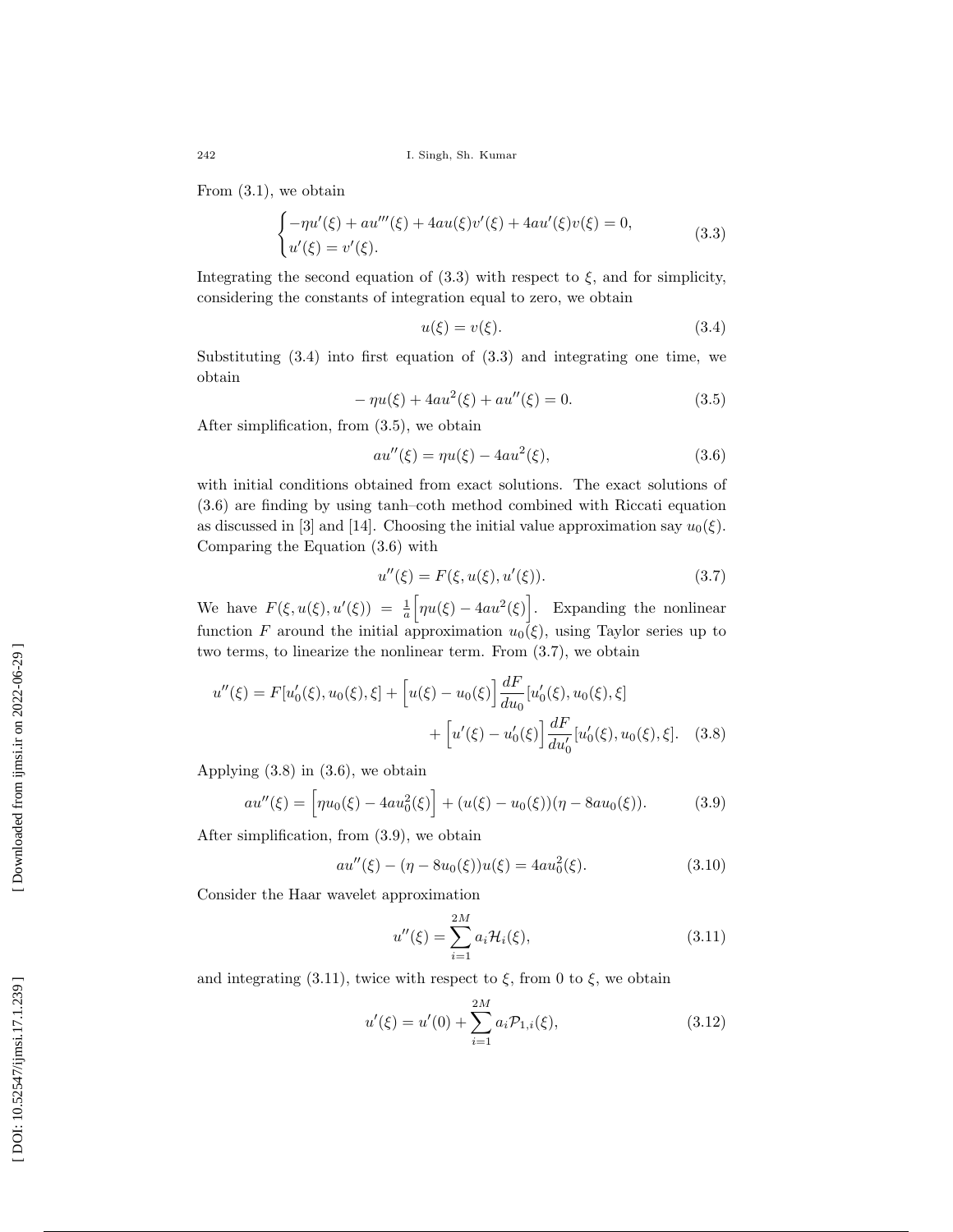242 I. Singh, Sh. Kumar

From (3.1), we obtain

$$
\begin{cases}\n-\eta u'(\xi) + au'''(\xi) + 4au(\xi)v'(\xi) + 4au'(\xi)v(\xi) = 0, \\
u'(\xi) = v'(\xi).\n\end{cases}
$$
\n(3.3)

Integrating the second equation of  $(3.3)$  with respect to  $\xi$ , and for simplicity, considering the constants of integration equal to zero, we obtain

$$
u(\xi) = v(\xi). \tag{3.4}
$$

Substituting  $(3.4)$  into first equation of  $(3.3)$  and integrating one time, we obtain

$$
-\eta u(\xi) + 4au^2(\xi) + au''(\xi) = 0.
$$
\n(3.5)

After simplification, from (3.5), we obtain

$$
au''(\xi) = \eta u(\xi) - 4au^2(\xi),
$$
\n(3.6)

with initial conditions obtained from exact solutions. The exact solutions of (3.6) are finding by using tanh–coth method combined with Riccati equation as discussed in [3] and [14]. Choosing the initial value approximation say  $u_0(\xi)$ . Comparing the Equation (3.6) with

$$
u''(\xi) = F(\xi, u(\xi), u'(\xi)).
$$
\n(3.7)

We have  $F(\xi, u(\xi), u'(\xi)) = \frac{1}{a} \left[ \eta u(\xi) - 4au^2(\xi) \right]$ . Expanding the nonlinear function F around the initial approximation  $u_0(\xi)$ , using Taylor series up to two terms, to linearize the nonlinear term. From (3.7), we obtain

$$
u''(\xi) = F[u'_0(\xi), u_0(\xi), \xi] + \left[u(\xi) - u_0(\xi)\right] \frac{dF}{du_0} [u'_0(\xi), u_0(\xi), \xi] + \left[u'(\xi) - u'_0(\xi)\right] \frac{dF}{du'_0} [u'_0(\xi), u_0(\xi), \xi]. \quad (3.8)
$$

Applying (3.8) in (3.6), we obtain

$$
au''(\xi) = \left[\eta u_0(\xi) - 4au_0^2(\xi)\right] + (u(\xi) - u_0(\xi))(\eta - 8au_0(\xi)).\tag{3.9}
$$

After simplification, from (3.9), we obtain

$$
au''(\xi) - (\eta - 8u_0(\xi))u(\xi) = 4au_0^2(\xi). \tag{3.10}
$$

Consider the Haar wavelet approximation

$$
u''(\xi) = \sum_{i=1}^{2M} a_i \mathcal{H}_i(\xi),
$$
\n(3.11)

and integrating (3.11), twice with respect to  $\xi$ , from 0 to  $\xi$ , we obtain

$$
u'(\xi) = u'(0) + \sum_{i=1}^{2M} a_i \mathcal{P}_{1,i}(\xi), \qquad (3.12)
$$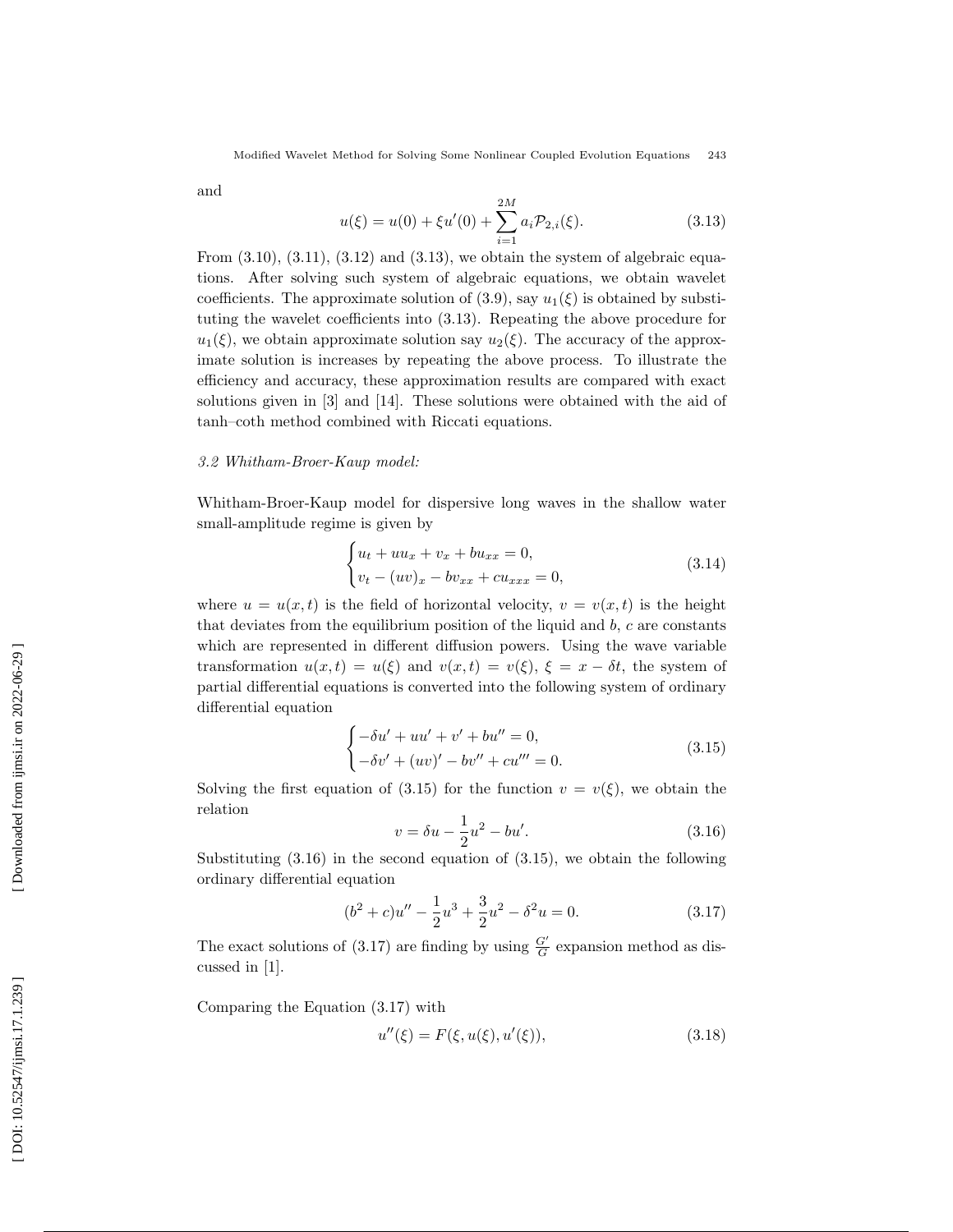and

$$
u(\xi) = u(0) + \xi u'(0) + \sum_{i=1}^{2M} a_i \mathcal{P}_{2,i}(\xi).
$$
 (3.13)

From  $(3.10)$ ,  $(3.11)$ ,  $(3.12)$  and  $(3.13)$ , we obtain the system of algebraic equations. After solving such system of algebraic equations, we obtain wavelet coefficients. The approximate solution of  $(3.9)$ , say  $u_1(\xi)$  is obtained by substituting the wavelet coefficients into (3.13). Repeating the above procedure for  $u_1(\xi)$ , we obtain approximate solution say  $u_2(\xi)$ . The accuracy of the approximate solution is increases by repeating the above process. To illustrate the efficiency and accuracy, these approximation results are compared with exact solutions given in [3] and [14]. These solutions were obtained with the aid of tanh–coth method combined with Riccati equations.

### 3.2 Whitham-Broer-Kaup model:

Whitham-Broer-Kaup model for dispersive long waves in the shallow water small-amplitude regime is given by

$$
\begin{cases} u_t + uu_x + v_x + bu_{xx} = 0, \\ v_t - (uv)_x - bv_{xx} + cu_{xxx} = 0, \end{cases}
$$
 (3.14)

where  $u = u(x,t)$  is the field of horizontal velocity,  $v = v(x,t)$  is the height that deviates from the equilibrium position of the liquid and  $b$ ,  $c$  are constants which are represented in different diffusion powers. Using the wave variable transformation  $u(x,t) = u(\xi)$  and  $v(x,t) = v(\xi)$ ,  $\xi = x - \delta t$ , the system of partial differential equations is converted into the following system of ordinary differential equation

$$
\begin{cases}\n-\delta u' + uu' + v' + bu'' = 0, \\
-\delta v' + (uv)' - bv'' + cu''' = 0.\n\end{cases}
$$
\n(3.15)

Solving the first equation of (3.15) for the function  $v = v(\xi)$ , we obtain the relation

$$
v = \delta u - \frac{1}{2}u^2 - bu'.
$$
 (3.16)

Substituting  $(3.16)$  in the second equation of  $(3.15)$ , we obtain the following ordinary differential equation

$$
(b2 + c)u'' - \frac{1}{2}u3 + \frac{3}{2}u2 - \delta2u = 0.
$$
 (3.17)

The exact solutions of (3.17) are finding by using  $\frac{G'}{G}$  $\frac{G'}{G}$  expansion method as discussed in [1].

Comparing the Equation (3.17) with

$$
u''(\xi) = F(\xi, u(\xi), u'(\xi)),
$$
\n(3.18)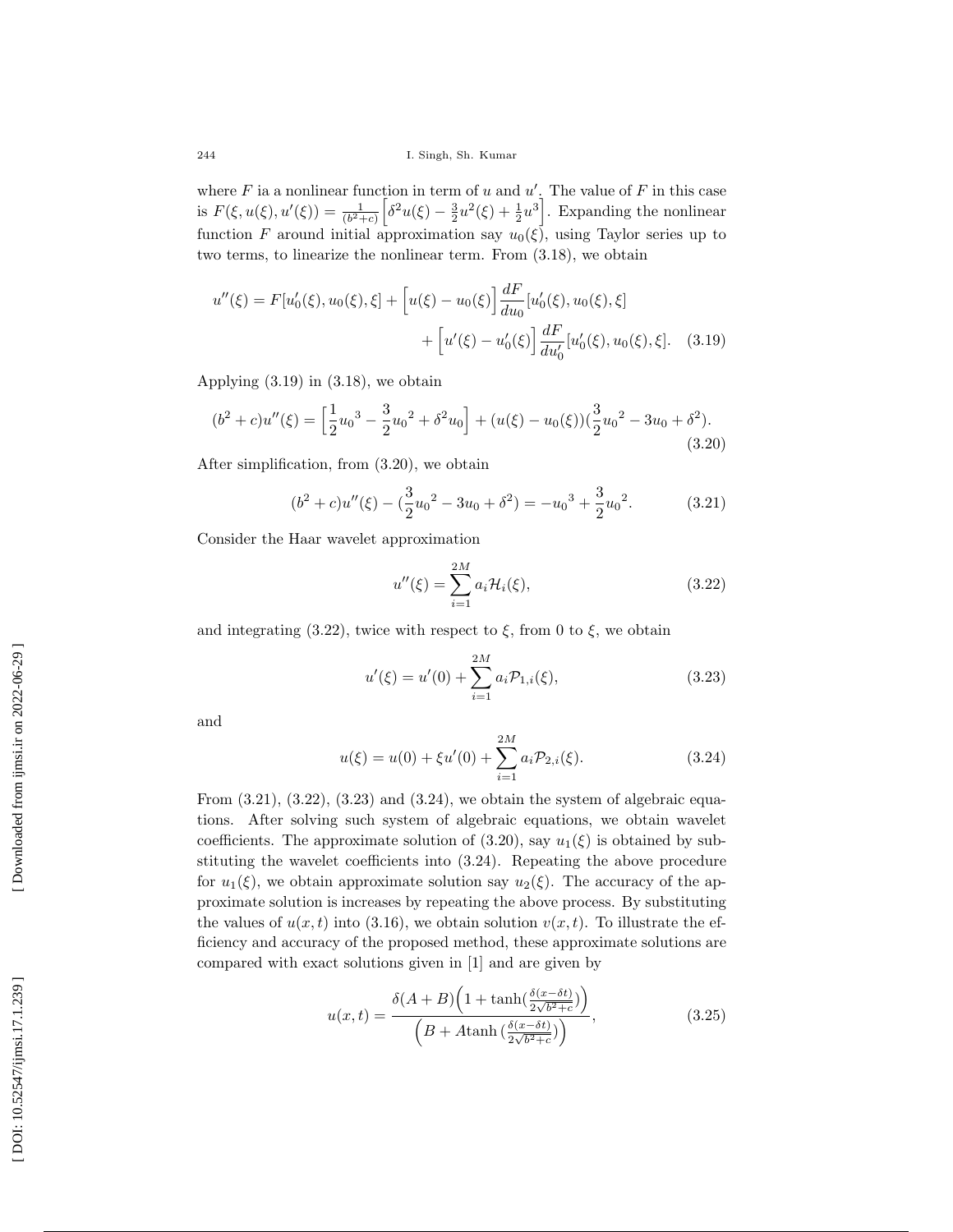where  $F$  ia a nonlinear function in term of  $u$  and  $u'$ . The value of  $F$  in this case is  $F(\xi, u(\xi), u'(\xi)) = \frac{1}{(b^2+c)} \left[ \delta^2 u(\xi) - \frac{3}{2} u^2(\xi) + \frac{1}{2} u^3 \right]$ . Expanding the nonlinear function F around initial approximation say  $u_0(\xi)$ , using Taylor series up to two terms, to linearize the nonlinear term. From (3.18), we obtain

$$
u''(\xi) = F[u'_0(\xi), u_0(\xi), \xi] + \left[u(\xi) - u_0(\xi)\right] \frac{dF}{du_0} [u'_0(\xi), u_0(\xi), \xi] + \left[u'(\xi) - u'_0(\xi)\right] \frac{dF}{du'_0} [u'_0(\xi), u_0(\xi), \xi]. \quad (3.19)
$$

Applying  $(3.19)$  in  $(3.18)$ , we obtain

$$
(b2 + c)u''(\xi) = \left[\frac{1}{2}u_03 - \frac{3}{2}u_02 + \delta2u_0\right] + (u(\xi) - u_0(\xi))\left(\frac{3}{2}u_02 - 3u_0 + \delta2\right).
$$
\n(3.20)

After simplification, from (3.20), we obtain

$$
(b2 + c)u''(\xi) - (\frac{3}{2}u_02 - 3u_0 + \delta2) = -u_03 + \frac{3}{2}u_02.
$$
 (3.21)

Consider the Haar wavelet approximation

$$
u''(\xi) = \sum_{i=1}^{2M} a_i \mathcal{H}_i(\xi),
$$
\n(3.22)

and integrating (3.22), twice with respect to  $\xi$ , from 0 to  $\xi$ , we obtain

$$
u'(\xi) = u'(0) + \sum_{i=1}^{2M} a_i \mathcal{P}_{1,i}(\xi),
$$
\n(3.23)

and

$$
u(\xi) = u(0) + \xi u'(0) + \sum_{i=1}^{2M} a_i \mathcal{P}_{2,i}(\xi).
$$
 (3.24)

From  $(3.21)$ ,  $(3.22)$ ,  $(3.23)$  and  $(3.24)$ , we obtain the system of algebraic equations. After solving such system of algebraic equations, we obtain wavelet coefficients. The approximate solution of  $(3.20)$ , say  $u_1(\xi)$  is obtained by substituting the wavelet coefficients into (3.24). Repeating the above procedure for  $u_1(\xi)$ , we obtain approximate solution say  $u_2(\xi)$ . The accuracy of the approximate solution is increases by repeating the above process. By substituting the values of  $u(x,t)$  into (3.16), we obtain solution  $v(x,t)$ . To illustrate the efficiency and accuracy of the proposed method, these approximate solutions are compared with exact solutions given in [1] and are given by

$$
u(x,t) = \frac{\delta(A+B)\left(1+\tanh\left(\frac{\delta(x-\delta t)}{2\sqrt{b^2+c}}\right)\right)}{\left(B+A\tanh\left(\frac{\delta(x-\delta t)}{2\sqrt{b^2+c}}\right)\right)},
$$
\n(3.25)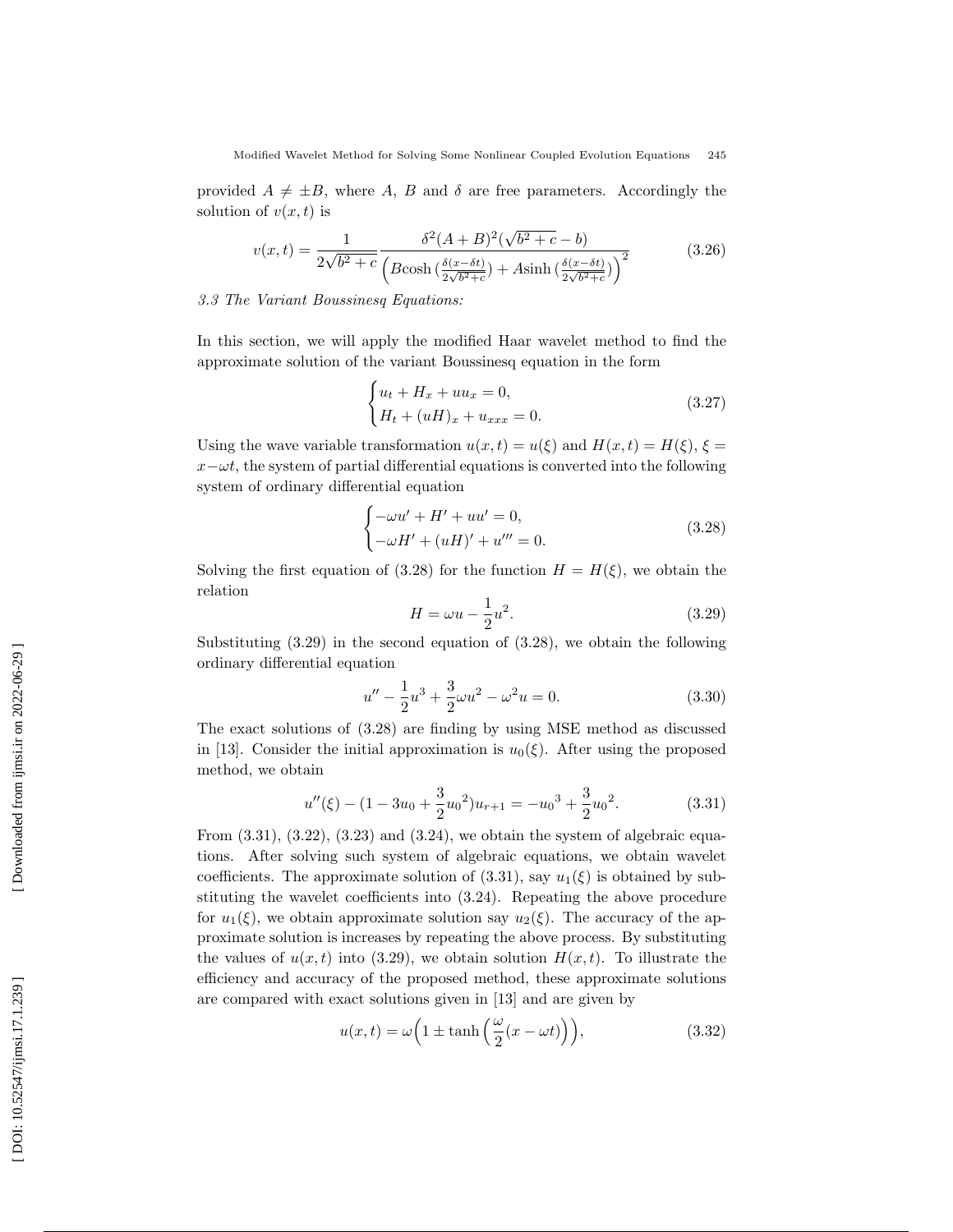provided  $A \neq \pm B$ , where A, B and  $\delta$  are free parameters. Accordingly the solution of  $v(x,t)$  is

$$
v(x,t) = \frac{1}{2\sqrt{b^2 + c}} \frac{\delta^2 (A+B)^2 (\sqrt{b^2 + c} - b)}{\left(B\cosh\left(\frac{\delta(x-\delta t)}{2\sqrt{b^2 + c}}\right) + A\sinh\left(\frac{\delta(x-\delta t)}{2\sqrt{b^2 + c}}\right)\right)^2}
$$
(3.26)

## 3.3 The Variant Boussinesq Equations:

In this section, we will apply the modified Haar wavelet method to find the approximate solution of the variant Boussinesq equation in the form

$$
\begin{cases} u_t + H_x + uu_x = 0, \\ H_t + (uH)_x + u_{xxx} = 0. \end{cases} \tag{3.27}
$$

Using the wave variable transformation  $u(x,t) = u(\xi)$  and  $H(x,t) = H(\xi), \xi =$  $x-\omega t$ , the system of partial differential equations is converted into the following system of ordinary differential equation

$$
\begin{cases}\n-\omega u' + H' + uu' = 0, \\
-\omega H' + (uH)' + u''' = 0.\n\end{cases}
$$
\n(3.28)

Solving the first equation of (3.28) for the function  $H = H(\xi)$ , we obtain the relation

$$
H = \omega u - \frac{1}{2}u^2.
$$
\n
$$
(3.29)
$$

Substituting (3.29) in the second equation of (3.28), we obtain the following ordinary differential equation

$$
u'' - \frac{1}{2}u^3 + \frac{3}{2}\omega u^2 - \omega^2 u = 0.
$$
 (3.30)

The exact solutions of (3.28) are finding by using MSE method as discussed in [13]. Consider the initial approximation is  $u_0(\xi)$ . After using the proposed method, we obtain

$$
u''(\xi) - (1 - 3u_0 + \frac{3}{2}u_0^2)u_{r+1} = -u_0^3 + \frac{3}{2}u_0^2.
$$
 (3.31)

From  $(3.31)$ ,  $(3.22)$ ,  $(3.23)$  and  $(3.24)$ , we obtain the system of algebraic equations. After solving such system of algebraic equations, we obtain wavelet coefficients. The approximate solution of  $(3.31)$ , say  $u_1(\xi)$  is obtained by substituting the wavelet coefficients into (3.24). Repeating the above procedure for  $u_1(\xi)$ , we obtain approximate solution say  $u_2(\xi)$ . The accuracy of the approximate solution is increases by repeating the above process. By substituting the values of  $u(x,t)$  into (3.29), we obtain solution  $H(x,t)$ . To illustrate the efficiency and accuracy of the proposed method, these approximate solutions are compared with exact solutions given in [13] and are given by

$$
u(x,t) = \omega \left( 1 \pm \tanh\left(\frac{\omega}{2}(x - \omega t)\right) \right),\tag{3.32}
$$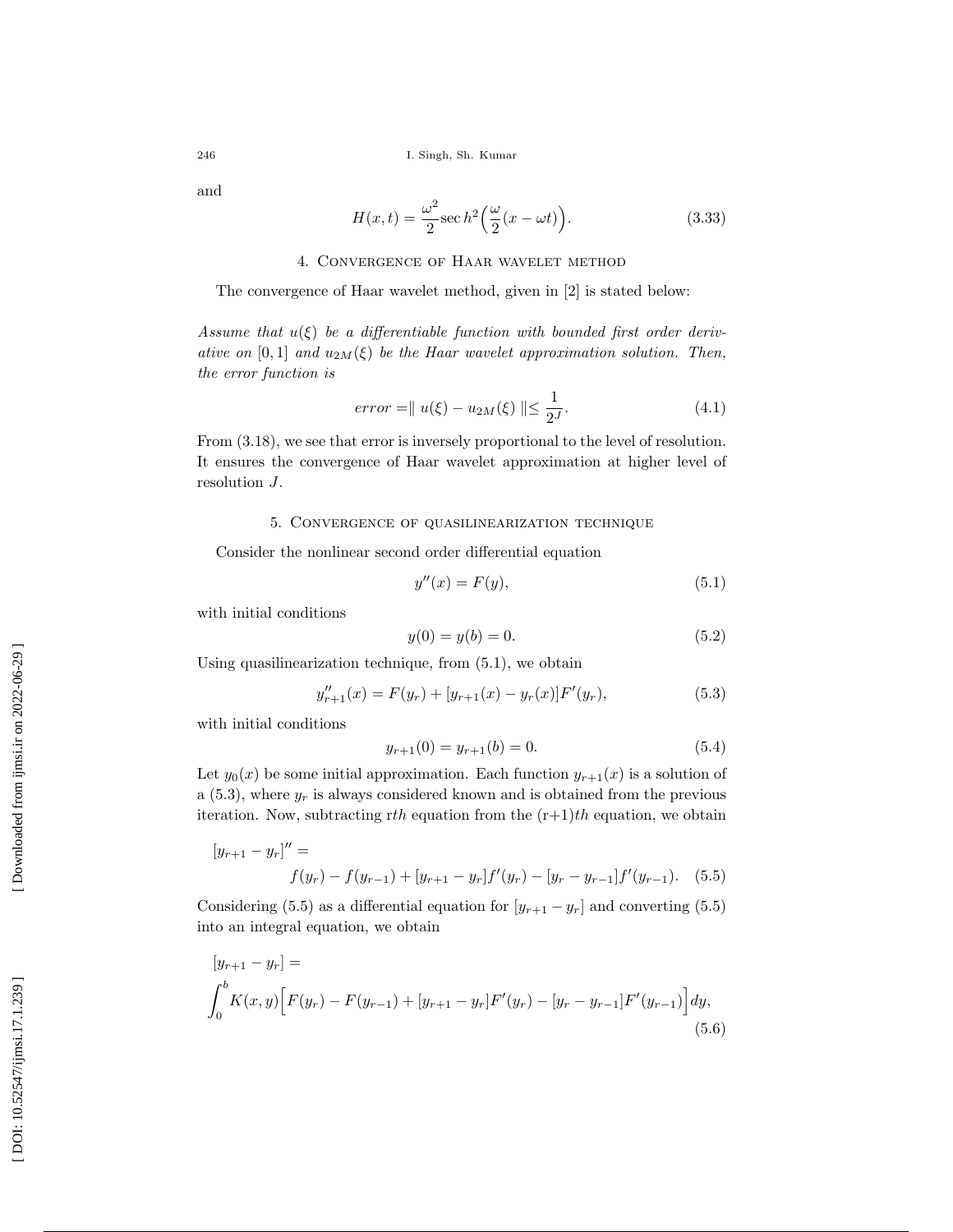and

$$
H(x,t) = \frac{\omega^2}{2} \sec h^2 \left(\frac{\omega}{2}(x - \omega t)\right).
$$
 (3.33)

### 4. Convergence of Haar wavelet method

The convergence of Haar wavelet method, given in [2] is stated below:

Assume that  $u(\xi)$  be a differentiable function with bounded first order derivative on [0, 1] and  $u_{2M}(\xi)$  be the Haar wavelet approximation solution. Then, the error function is

$$
error = || u(\xi) - u_{2M}(\xi) || \le \frac{1}{2^J}.
$$
\n(4.1)

From (3.18), we see that error is inversely proportional to the level of resolution. It ensures the convergence of Haar wavelet approximation at higher level of resolution J .

## 5. Convergence of quasilinearization technique

Consider the nonlinear second order differential equation

$$
y''(x) = F(y),\tag{5.1}
$$

with initial conditions

$$
y(0) = y(b) = 0.
$$
\n(5.2)

Using quasilinearization technique, from (5.1), we obtain

$$
y''_{r+1}(x) = F(y_r) + [y_{r+1}(x) - y_r(x)]F'(y_r),
$$
\n(5.3)

with initial conditions

$$
y_{r+1}(0) = y_{r+1}(b) = 0.
$$
\n(5.4)

Let  $y_0(x)$  be some initial approximation. Each function  $y_{r+1}(x)$  is a solution of a  $(5.3)$ , where  $y_r$  is always considered known and is obtained from the previous iteration. Now, subtracting rth equation from the  $(r+1)th$  equation, we obtain

$$
[y_{r+1} - y_r]'' =
$$
  

$$
f(y_r) - f(y_{r-1}) + [y_{r+1} - y_r]f'(y_r) - [y_r - y_{r-1}]f'(y_{r-1}).
$$
 (5.5)

Considering (5.5) as a differential equation for  $[y_{r+1} - y_r]$  and converting (5.5) into an integral equation, we obtain

$$
[y_{r+1} - y_r] =
$$
  

$$
\int_0^b K(x, y) \Big[ F(y_r) - F(y_{r-1}) + [y_{r+1} - y_r] F'(y_r) - [y_r - y_{r-1}] F'(y_{r-1}) \Big] dy,
$$
  
(5.6)

[DOI: 10.52547/ijmsi.17.1.239]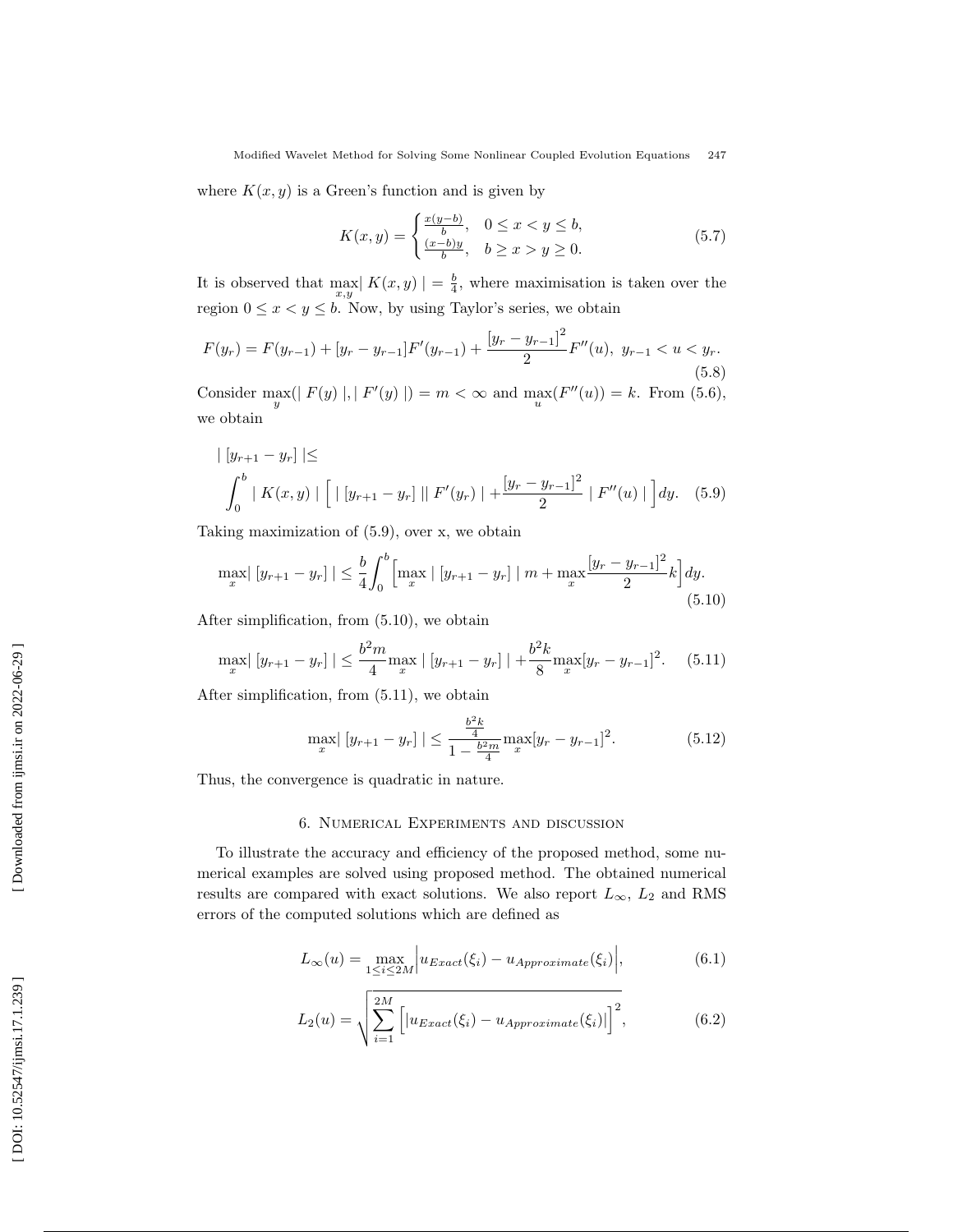where  $K(x, y)$  is a Green's function and is given by

$$
K(x,y) = \begin{cases} \frac{x(y-b)}{b}, & 0 \le x < y \le b, \\ \frac{(x-b)y}{b}, & b \ge x > y \ge 0. \end{cases}
$$
 (5.7)

It is observed that  $\max_{x,y} |K(x,y)| = \frac{b}{4}$ , where maximisation is taken over the region  $0 \le x < y \le b$ . Now, by using Taylor's series, we obtain

$$
F(y_r) = F(y_{r-1}) + [y_r - y_{r-1}]F'(y_{r-1}) + \frac{[y_r - y_{r-1}]^2}{2}F''(u), y_{r-1} < u < y_r. \tag{5.8}
$$

Consider max( $|F(y)|, |F'(y)| = m < \infty$  and  $\max_u(F''(u)) = k$ . From (5.6), we obtain

$$
\left| \left[ y_{r+1} - y_r \right] \right| \le
$$
\n
$$
\int_0^b |K(x, y)| \left[ \left| \left[ y_{r+1} - y_r \right] \right| \right| F'(y_r) \left| + \frac{\left[ y_r - y_{r-1} \right]^2}{2} \left| F''(u) \right| \right] dy. \tag{5.9}
$$

Taking maximization of (5.9), over x, we obtain

$$
\max_{x} |y_{r+1} - y_r| \le \frac{b}{4} \int_0^b \left[ \max_x |y_{r+1} - y_r| \mid m + \max_x \frac{|y_r - y_{r-1}|^2}{2} k \right] dy. \tag{5.10}
$$

After simplification, from (5.10), we obtain

$$
\max_{x} |[y_{r+1} - y_r] | \le \frac{b^2 m}{4} \max_{x} |[y_{r+1} - y_r] | + \frac{b^2 k}{8} \max_{x} [y_r - y_{r-1}]^2. \tag{5.11}
$$

After simplification, from (5.11), we obtain

$$
\max_{x} |[y_{r+1} - y_r] | \le \frac{\frac{b^2 k}{4}}{1 - \frac{b^2 m}{4}} \max_{x} [y_r - y_{r-1}]^2.
$$
 (5.12)

Thus, the convergence is quadratic in nature.

## 6. Numerical Experiments and discussion

To illustrate the accuracy and efficiency of the proposed method, some numerical examples are solved using proposed method. The obtained numerical results are compared with exact solutions. We also report  $L_{\infty}$ ,  $L_2$  and RMS errors of the computed solutions which are defined as

$$
L_{\infty}(u) = \max_{1 \le i \le 2M} \left| u_{Exact}(\xi_i) - u_{Approximate}(\xi_i) \right|, \tag{6.1}
$$

$$
L_2(u) = \sqrt{\sum_{i=1}^{2M} \left[ |u_{Exact}(\xi_i) - u_{Approximate}(\xi_i)| \right]^2},
$$
\n(6.2)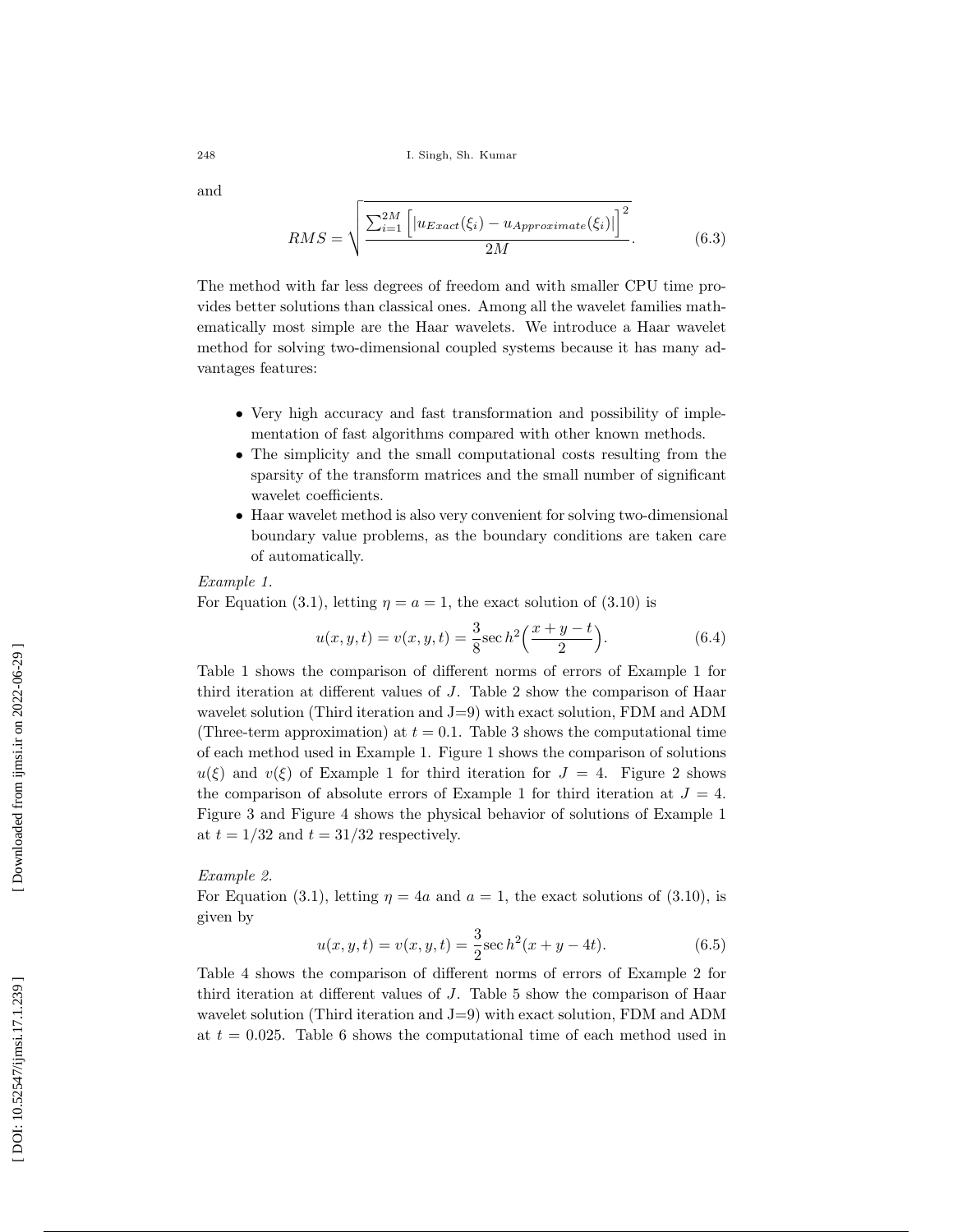and

$$
RMS = \sqrt{\frac{\sum_{i=1}^{2M} \left[ |u_{Exact}(\xi_i) - u_{Approximate}(\xi_i)| \right]^2}{2M}}.
$$
\n(6.3)

The method with far less degrees of freedom and with smaller CPU time provides better solutions than classical ones. Among all the wavelet families mathematically most simple are the Haar wavelets. We introduce a Haar wavelet method for solving two-dimensional coupled systems because it has many advantages features:

- Very high accuracy and fast transformation and possibility of implementation of fast algorithms compared with other known methods.
- The simplicity and the small computational costs resulting from the sparsity of the transform matrices and the small number of significant wavelet coefficients.
- Haar wavelet method is also very convenient for solving two-dimensional boundary value problems, as the boundary conditions are taken care of automatically.

#### Example 1.

For Equation (3.1), letting  $\eta = a = 1$ , the exact solution of (3.10) is

$$
u(x, y, t) = v(x, y, t) = \frac{3}{8} \sec h^2 \left(\frac{x + y - t}{2}\right).
$$
 (6.4)

Table 1 shows the comparison of different norms of errors of Example 1 for third iteration at different values of J. Table 2 show the comparison of Haar wavelet solution (Third iteration and J=9) with exact solution, FDM and ADM (Three-term approximation) at  $t = 0.1$ . Table 3 shows the computational time of each method used in Example 1. Figure 1 shows the comparison of solutions  $u(\xi)$  and  $v(\xi)$  of Example 1 for third iteration for  $J = 4$ . Figure 2 shows the comparison of absolute errors of Example 1 for third iteration at  $J = 4$ . Figure 3 and Figure 4 shows the physical behavior of solutions of Example 1 at  $t = 1/32$  and  $t = 31/32$  respectively.

## Example 2.

For Equation (3.1), letting  $\eta = 4a$  and  $a = 1$ , the exact solutions of (3.10), is given by

$$
u(x, y, t) = v(x, y, t) = \frac{3}{2}\sec h^{2}(x + y - 4t).
$$
 (6.5)

Table 4 shows the comparison of different norms of errors of Example 2 for third iteration at different values of J. Table 5 show the comparison of Haar wavelet solution (Third iteration and J=9) with exact solution, FDM and ADM at  $t = 0.025$ . Table 6 shows the computational time of each method used in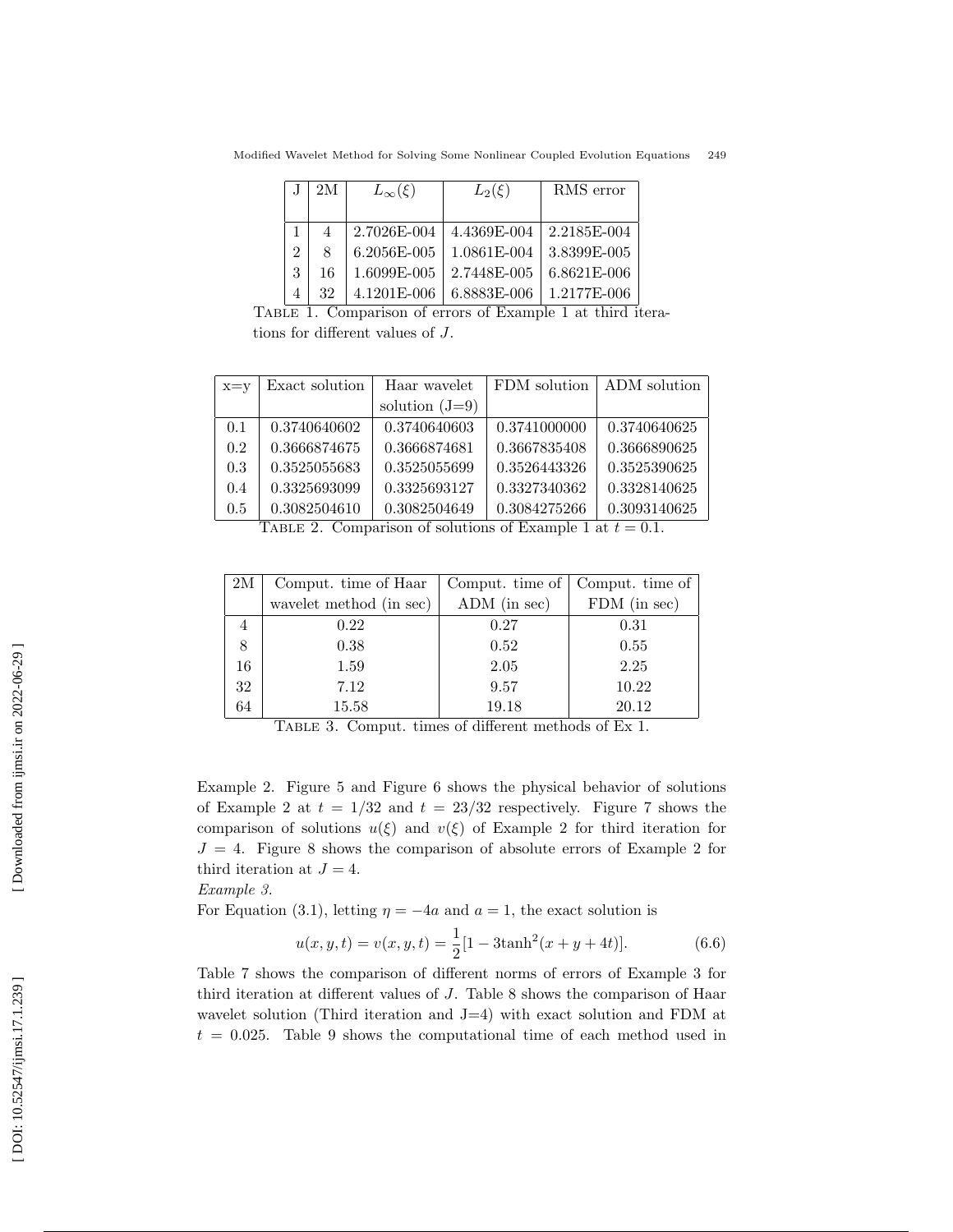|                | 2M | $L_{\infty}(\xi)$ | $L_2(\xi)$  | RMS error   |
|----------------|----|-------------------|-------------|-------------|
|                |    |                   |             |             |
|                | 4  | 2.7026E-004       | 4.4369E-004 | 2.2185E-004 |
| $\mathfrak{D}$ | 8  | 6.2056E-005       | 1.0861E-004 | 3.8399E-005 |
| 3              | 16 | 1.6099E-005       | 2.7448E-005 | 6.8621E-006 |
| $\overline{4}$ | 32 | 4.1201E-006       | 6.8883E-006 | 1.2177E-006 |

Modified Wavelet Method for Solving Some Nonlinear Coupled Evolution Equations 249

Table 1. Comparison of errors of Example 1 at third iterations for different values of J.

| $x = v$ | Exact solution | Haar wavelet     | FDM solution | ADM solution |
|---------|----------------|------------------|--------------|--------------|
|         |                | solution $(J=9)$ |              |              |
| 0.1     | 0.3740640602   | 0.3740640603     | 0.3741000000 | 0.3740640625 |
| 0.2     | 0.3666874675   | 0.3666874681     | 0.3667835408 | 0.3666890625 |
| 0.3     | 0.3525055683   | 0.3525055699     | 0.3526443326 | 0.3525390625 |
| 0.4     | 0.3325693099   | 0.3325693127     | 0.3327340362 | 0.3328140625 |
| 0.5     | 0.3082504610   | 0.3082504649     | 0.3084275266 | 0.3093140625 |

TABLE 2. Comparison of solutions of Example 1 at  $t = 0.1$ .

| 2M | Comput. time of Haar    |              | Comput. time of   Comput. time of |
|----|-------------------------|--------------|-----------------------------------|
|    | wavelet method (in sec) | ADM (in sec) | FDM (in sec)                      |
|    | 0.22                    | 0.27         | 0.31                              |
| 8  | 0.38                    | 0.52         | 0.55                              |
| 16 | 1.59                    | 2.05         | 2.25                              |
| 32 | 7.12                    | 9.57         | 10.22                             |
| 64 | 15.58                   | 19.18        | 20.12                             |

Table 3. Comput. times of different methods of Ex 1.

Example 2. Figure 5 and Figure 6 shows the physical behavior of solutions of Example 2 at  $t = 1/32$  and  $t = 23/32$  respectively. Figure 7 shows the comparison of solutions  $u(\xi)$  and  $v(\xi)$  of Example 2 for third iteration for  $J = 4$ . Figure 8 shows the comparison of absolute errors of Example 2 for third iteration at  $J = 4$ .

Example 3.

For Equation (3.1), letting  $\eta = -4a$  and  $a = 1$ , the exact solution is

$$
u(x, y, t) = v(x, y, t) = \frac{1}{2} [1 - 3 \tanh^{2}(x + y + 4t)].
$$
\n(6.6)

Table 7 shows the comparison of different norms of errors of Example 3 for third iteration at different values of J. Table 8 shows the comparison of Haar wavelet solution (Third iteration and J=4) with exact solution and FDM at  $t = 0.025$ . Table 9 shows the computational time of each method used in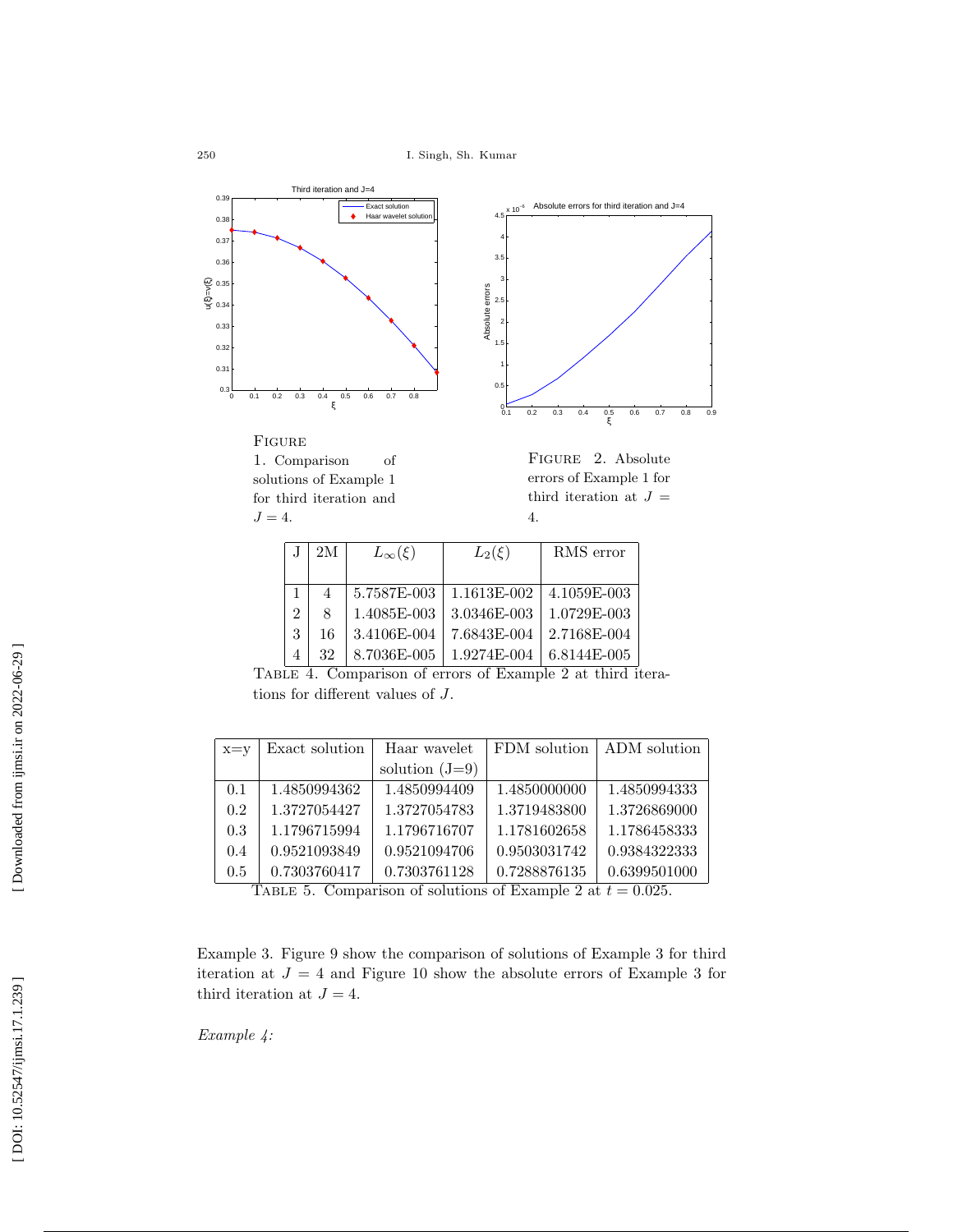



FIGURE 2. Absolute errors of Example 1 for third iteration at  $J =$ 4.

|   | 2M | $L_{\infty}(\xi)$ | $L_2(\xi)$  | RMS error   |
|---|----|-------------------|-------------|-------------|
|   |    |                   |             |             |
|   | 4  | 5.7587E-003       | 1.1613E-002 | 4.1059E-003 |
| 2 | 8  | 1.4085E-003       | 3.0346E-003 | 1.0729E-003 |
| 3 | 16 | 3.4106F-004       | 7.6843E-004 | 2.7168E-004 |
|   | 32 | 8.7036E-005       | 1.9274F-004 | 6.8144E-005 |

Table 4. Comparison of errors of Example 2 at third iterations for different values of J.

| $x = v$ | Exact solution | Haar wavelet     | FDM solution | ADM solution |
|---------|----------------|------------------|--------------|--------------|
|         |                | solution $(J=9)$ |              |              |
| 0.1     | 1.4850994362   | 1.4850994409     | 1.4850000000 | 1.4850994333 |
| 0.2     | 1.3727054427   | 1.3727054783     | 1.3719483800 | 1.3726869000 |
| 0.3     | 1.1796715994   | 1.1796716707     | 1.1781602658 | 1.1786458333 |
| 0.4     | 0.9521093849   | 0.9521094706     | 0.9503031742 | 0.9384322333 |
| 0.5     | 0.7303760417   | 0.7303761128     | 0.7288876135 | 0.6399501000 |

TABLE 5. Comparison of solutions of Example 2 at  $t = 0.025$ .

Example 3. Figure 9 show the comparison of solutions of Example 3 for third iteration at  $J = 4$  and Figure 10 show the absolute errors of Example 3 for third iteration at  $J = 4$ .

Example 4: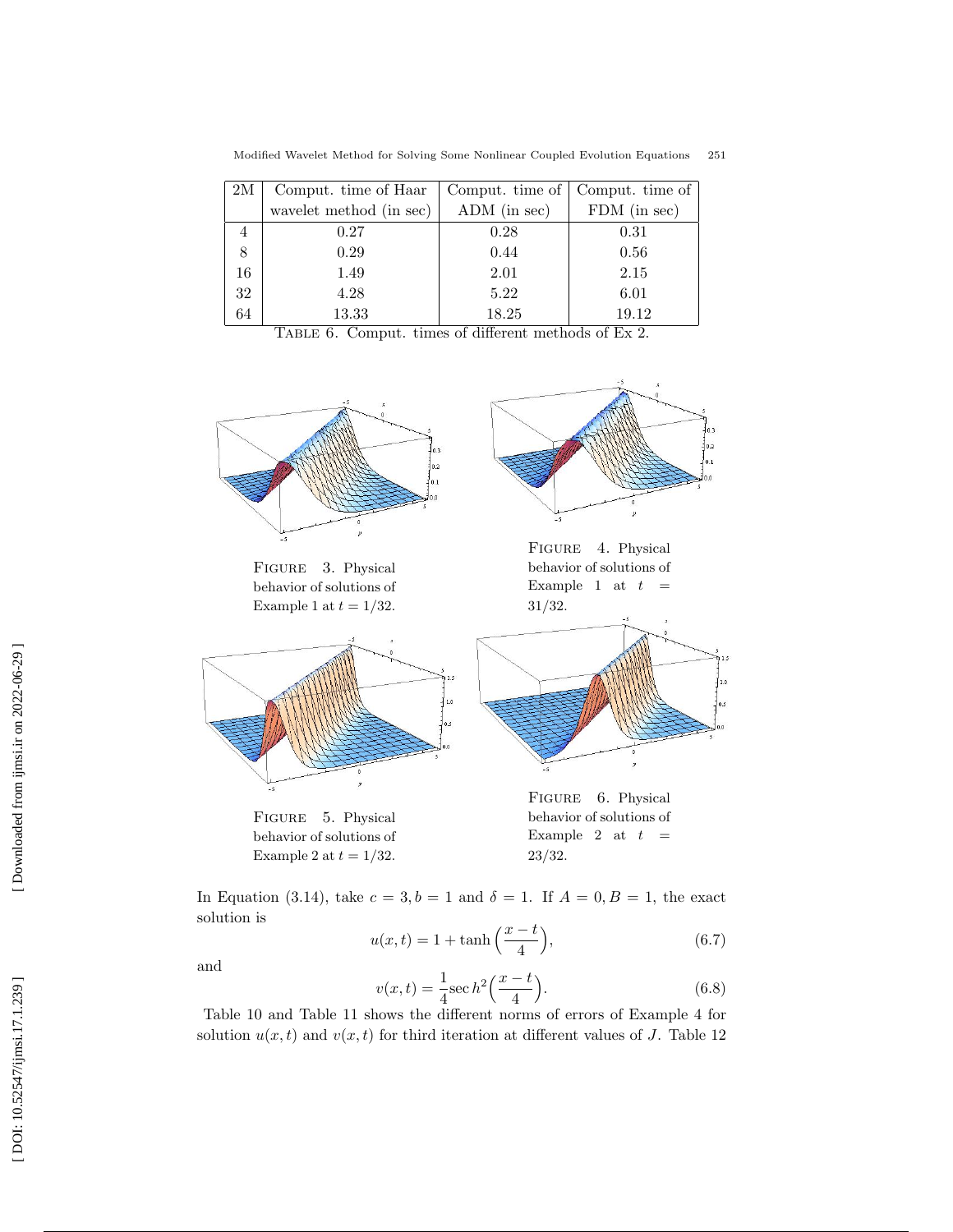| 2M | Comput. time of Haar    |              | Comput. time of Comput. time of |
|----|-------------------------|--------------|---------------------------------|
|    | wavelet method (in sec) | ADM (in sec) | FDM (in sec)                    |
|    | 0.27                    | 0.28         | 0.31                            |
| 8  | 0.29                    | 0.44         | 0.56                            |
| 16 | 1.49                    | 2.01         | 2.15                            |
| 32 | 4.28                    | 5.22         | 6.01                            |
| 64 | 13.33                   | 18.25        | 19.12                           |

Modified Wavelet Method for Solving Some Nonlinear Coupled Evolution Equations 251

Table 6. Comput. times of different methods of Ex 2.



In Equation (3.14), take  $c = 3, b = 1$  and  $\delta = 1$ . If  $A = 0, B = 1$ , the exact solution is

$$
u(x,t) = 1 + \tanh\left(\frac{x-t}{4}\right),
$$
 (6.7)

and

$$
v(x,t) = \frac{1}{4}\sec h^2\left(\frac{x-t}{4}\right).
$$
 (6.8)

Table 10 and Table 11 shows the different norms of errors of Example 4 for solution  $u(x,t)$  and  $v(x,t)$  for third iteration at different values of J. Table 12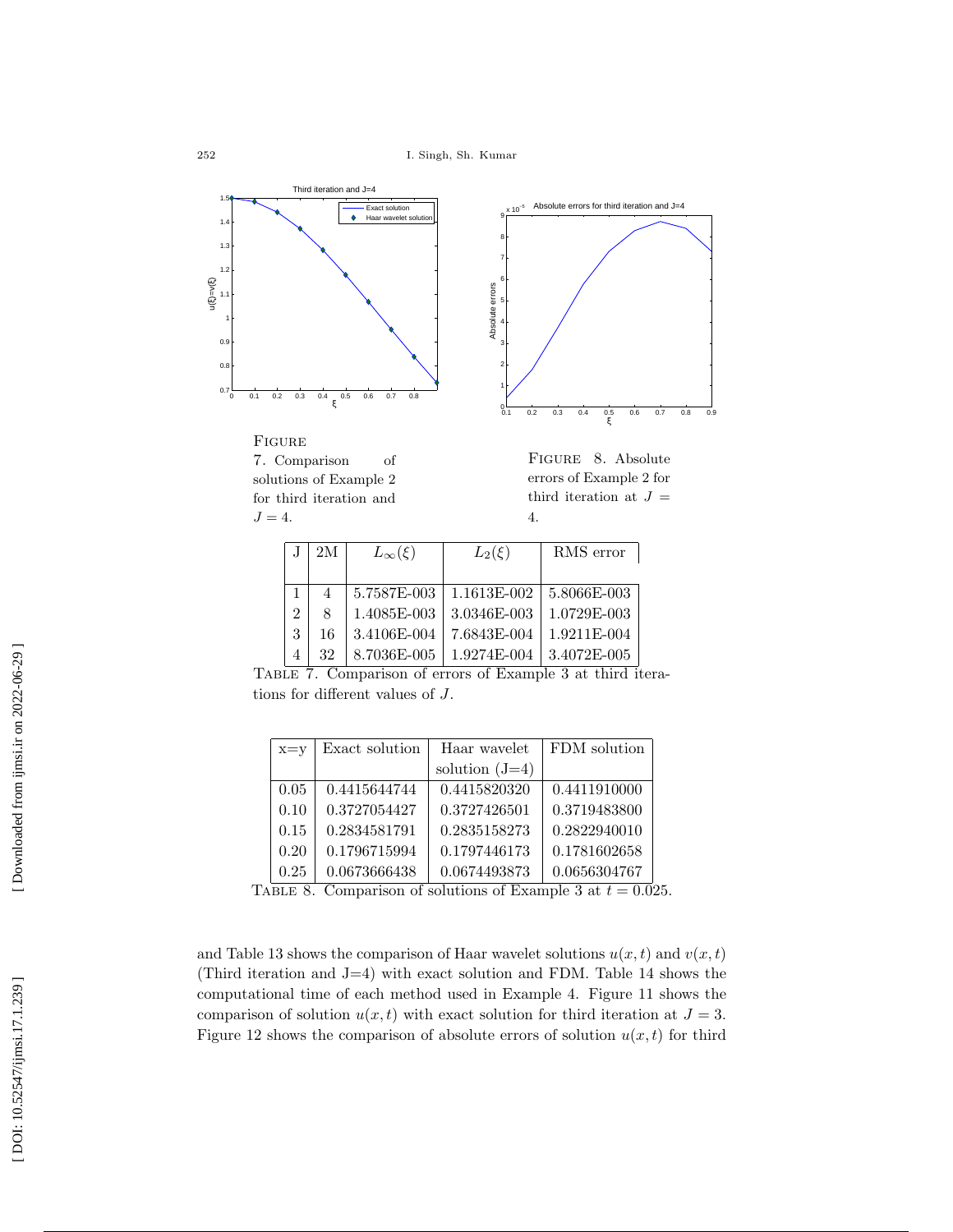



FIGURE 8. Absolute errors of Example 2 for third iteration at  $J =$ 4.

|   | 2M | $L_{\infty}(\xi)$ | $L_2(\xi)$  | RMS error   |
|---|----|-------------------|-------------|-------------|
|   |    | 5.7587E-003       | 1.1613E-002 | 5.8066E-003 |
| 2 | 8  | 1.4085E-003       | 3.0346E-003 | 1.0729E-003 |
| 3 | 16 | 3.4106E-004       | 7.6843E-004 | 1.9211E-004 |
|   | 32 | 8.7036E-005       | 1.9274E-004 | 3.4072E-005 |

Table 7. Comparison of errors of Example 3 at third iterations for different values of J.

| $x = v$ | Exact solution | Haar wavelet     | FDM solution |
|---------|----------------|------------------|--------------|
|         |                | solution $(J=4)$ |              |
| 0.05    | 0.4415644744   | 0.4415820320     | 0.4411910000 |
| 0.10    | 0.3727054427   | 0.3727426501     | 0.3719483800 |
| 0.15    | 0.2834581791   | 0.2835158273     | 0.2822940010 |
| 0.20    | 0.1796715994   | 0.1797446173     | 0.1781602658 |
| 0.25    | 0.0673666438   | 0.0674493873     | 0.0656304767 |

TABLE 8. Comparison of solutions of Example 3 at  $t = 0.025$ .

and Table 13 shows the comparison of Haar wavelet solutions  $u(x,t)$  and  $v(x,t)$ (Third iteration and J=4) with exact solution and FDM. Table 14 shows the computational time of each method used in Example 4. Figure 11 shows the comparison of solution  $u(x,t)$  with exact solution for third iteration at  $J=3$ . Figure 12 shows the comparison of absolute errors of solution  $u(x, t)$  for third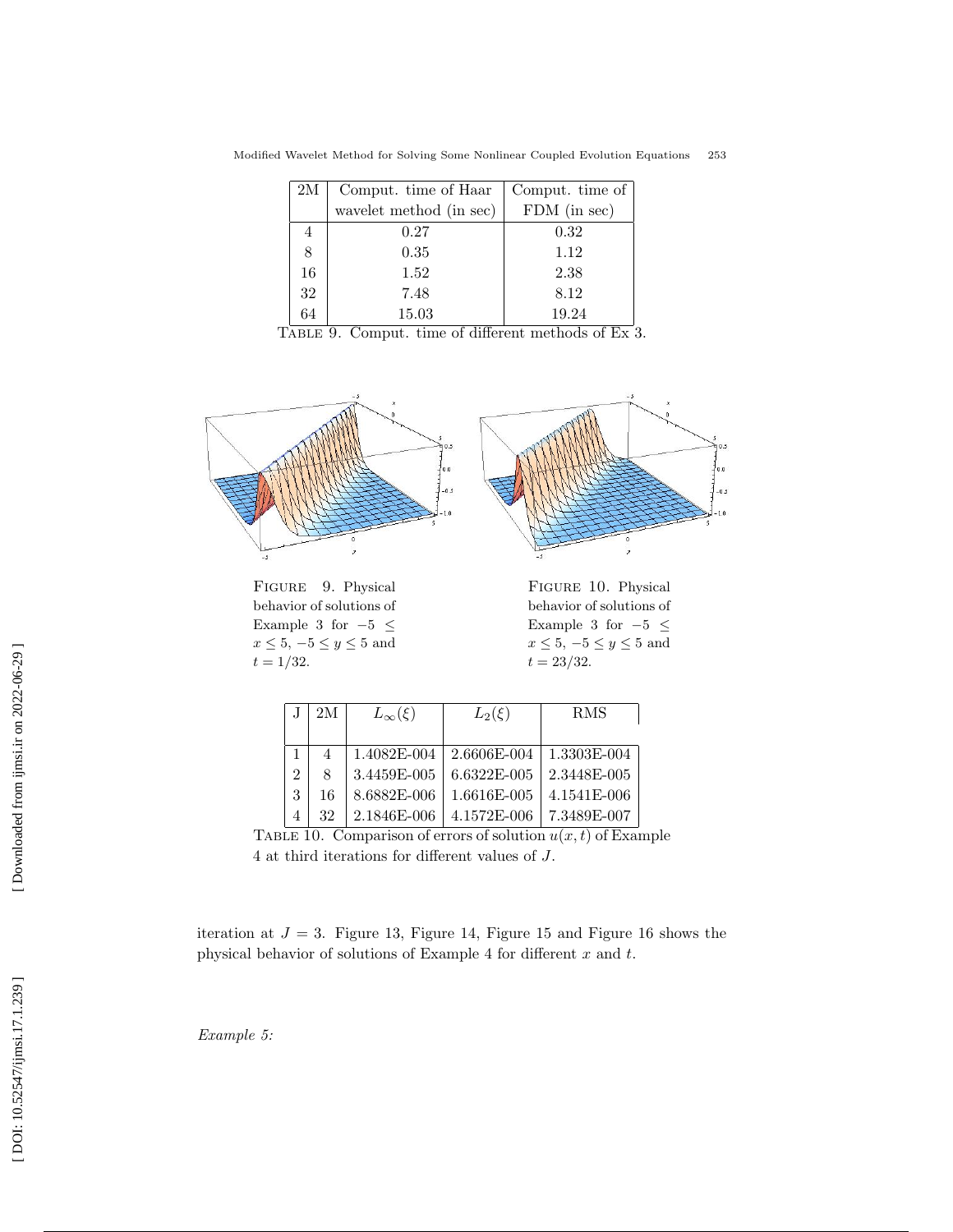| 2M | Comput. time of Haar    | Comput. time of |
|----|-------------------------|-----------------|
|    | wavelet method (in sec) | FDM (in sec)    |
| 4  | 0.27                    | 0.32            |
| 8  | 0.35                    | 1.12            |
| 16 | 1.52                    | 2.38            |
| 32 | 7.48                    | 8.12            |
| 64 | 15.03                   | 19.24           |

Modified Wavelet Method for Solving Some Nonlinear Coupled Evolution Equations 253

Table 9. Comput. time of different methods of Ex 3.



Figure 9. Physical behavior of solutions of Example 3 for  $-5 \le$  $x \leq 5, -5 \leq y \leq 5$  and  $t = 1/32.$ 

Figure 10. Physical behavior of solutions of Example 3 for  $-5 \le$  $x \leq 5, -5 \leq y \leq 5$  and  $t = 23/32.$ 

|   | 2M | $L_{\infty}(\xi)$ | $L_2(\xi)$  | <b>RMS</b>  |
|---|----|-------------------|-------------|-------------|
|   |    |                   |             |             |
|   | 4  | 1.4082E-004       | 2.6606E-004 | 1.3303E-004 |
| 2 | 8  | 3.4459E-005       | 6.6322E-005 | 2.3448E-005 |
| 3 | 16 | 8.6882E-006       | 1.6616E-005 | 4.1541E-006 |
| 4 | 32 | 2.1846E-006       | 4.1572E-006 | 7.3489E-007 |

TABLE 10. Comparison of errors of solution  $u(x, t)$  of Example 4 at third iterations for different values of J .

iteration at  $J = 3$ . Figure 13, Figure 14, Figure 15 and Figure 16 shows the physical behavior of solutions of Example 4 for different  $x$  and  $t$ .

Example 5: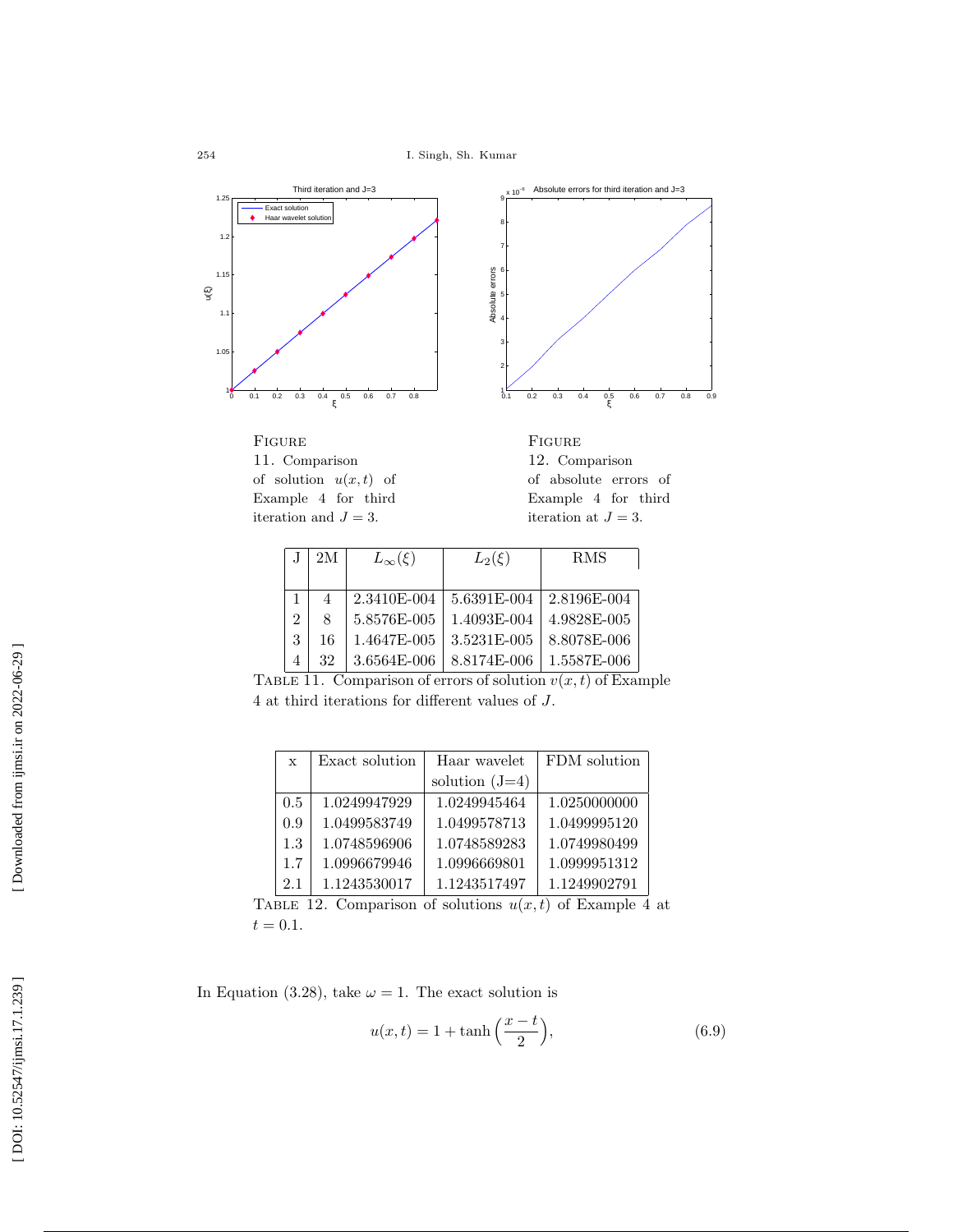254 I. Singh, Sh. Kumar

Absolute errors

Absolute errors







<sub>x 10</sub><sup>-6</sup> Absolute errors for third iteration and J=3

iteration at  $J=3$ .

|                             | 2M | $L_{\infty}(\xi)$ | $L_2(\xi)$  | RMS         |
|-----------------------------|----|-------------------|-------------|-------------|
|                             |    |                   |             |             |
|                             | 4  | 2.3410E-004       | 5.6391E-004 | 2.8196E-004 |
| $\mathcal{D}_{\mathcal{L}}$ | 8  | 5.8576E-005       | 1.4093E-004 | 4.9828E-005 |
| 3                           | 16 | 1.4647E-005       | 3.5231E-005 | 8.8078E-006 |
| 4                           | 32 | 3.6564E-006       | 8.8174E-006 | 1.5587E-006 |

TABLE 11. Comparison of errors of solution  $v(x, t)$  of Example 4 at third iterations for different values of J .

| $\mathbf x$ | Exact solution | Haar wavelet     | FDM solution |
|-------------|----------------|------------------|--------------|
|             |                | solution $(J=4)$ |              |
| 0.5         | 1.0249947929   | 1.0249945464     | 1.0250000000 |
| 0.9         | 1.0499583749   | 1.0499578713     | 1.0499995120 |
| 1.3         | 1.0748596906   | 1.0748589283     | 1.0749980499 |
| 1.7         | 1.0996679946   | 1.0996669801     | 1.0999951312 |
| 2.1         | 1.1243530017   | 1.1243517497     | 1.1249902791 |

TABLE 12. Comparison of solutions  $u(x,t)$  of Example 4 at  $t = 0.1$ .

In Equation (3.28), take  $\omega = 1$ . The exact solution is

$$
u(x,t) = 1 + \tanh\left(\frac{x-t}{2}\right),
$$
 (6.9)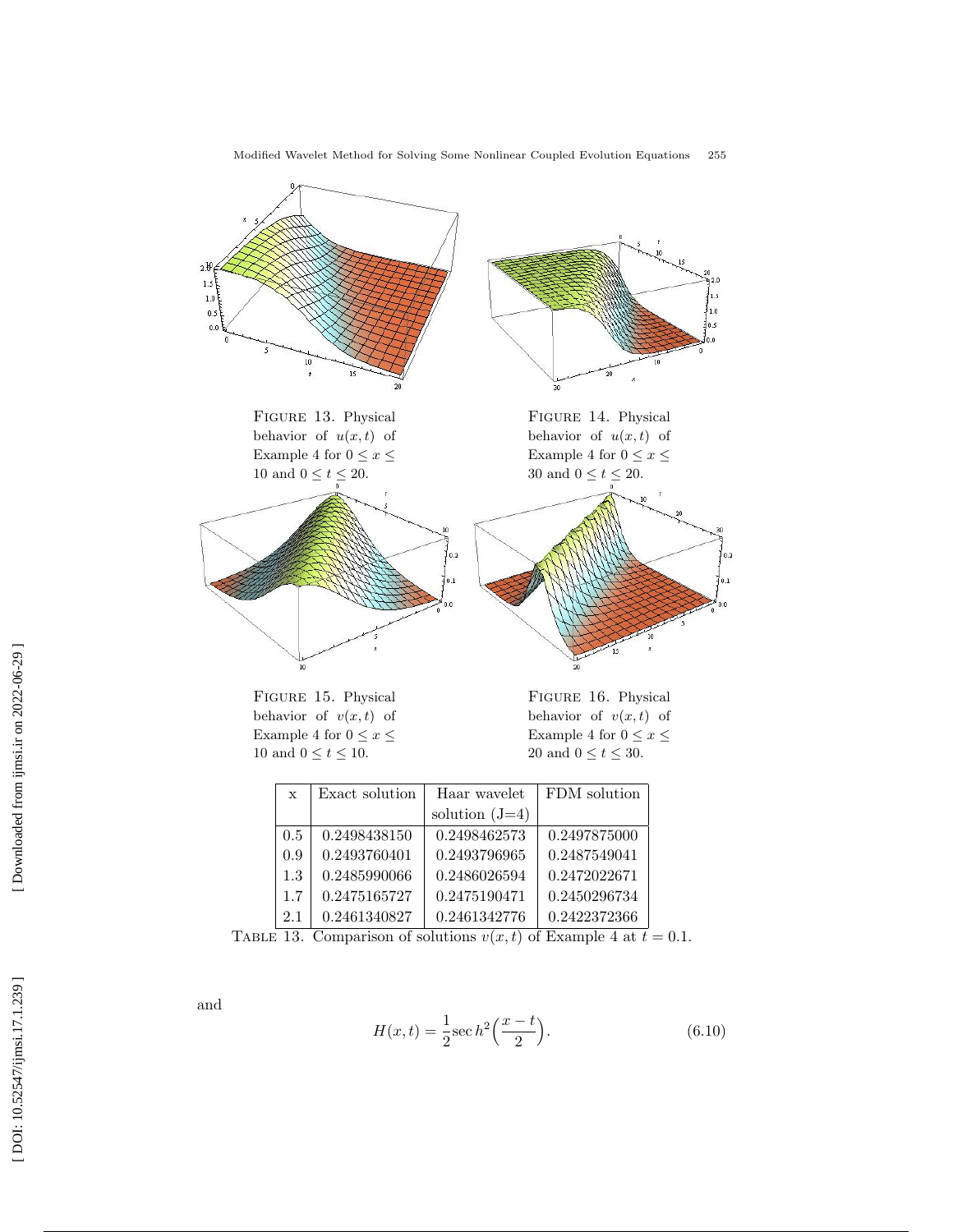

Modified Wavelet Method for Solving Some Nonlinear Coupled Evolution Equations 255

Figure 15. Physical behavior of  $v(x,t)$  of Example 4 for  $0 \leq x \leq$ 10 and  $0 \le t \le 10$ .

Figure 16. Physical behavior of  $v(x,t)$  of Example 4 for  $0 \leq x \leq$ 20 and  $0 \le t \le 30$ .

| $\mathbf{x}$ | Exact solution | Haar wavelet     | FDM solution |
|--------------|----------------|------------------|--------------|
|              |                | solution $(J=4)$ |              |
| 0.5          | 0.2498438150   | 0.2498462573     | 0.2497875000 |
| 0.9          | 0.2493760401   | 0.2493796965     | 0.2487549041 |
| 1.3          | 0.2485990066   | 0.2486026594     | 0.2472022671 |
| 1.7          | 0.2475165727   | 0.2475190471     | 0.2450296734 |
| 2.1          | 0.2461340827   | 0.2461342776     | 0.2422372366 |

TABLE 13. Comparison of solutions  $v(x,t)$  of Example 4 at  $t=0.1$ .

$$
H(x,t) = \frac{1}{2}\sec h^2\left(\frac{x-t}{2}\right).
$$
 (6.10)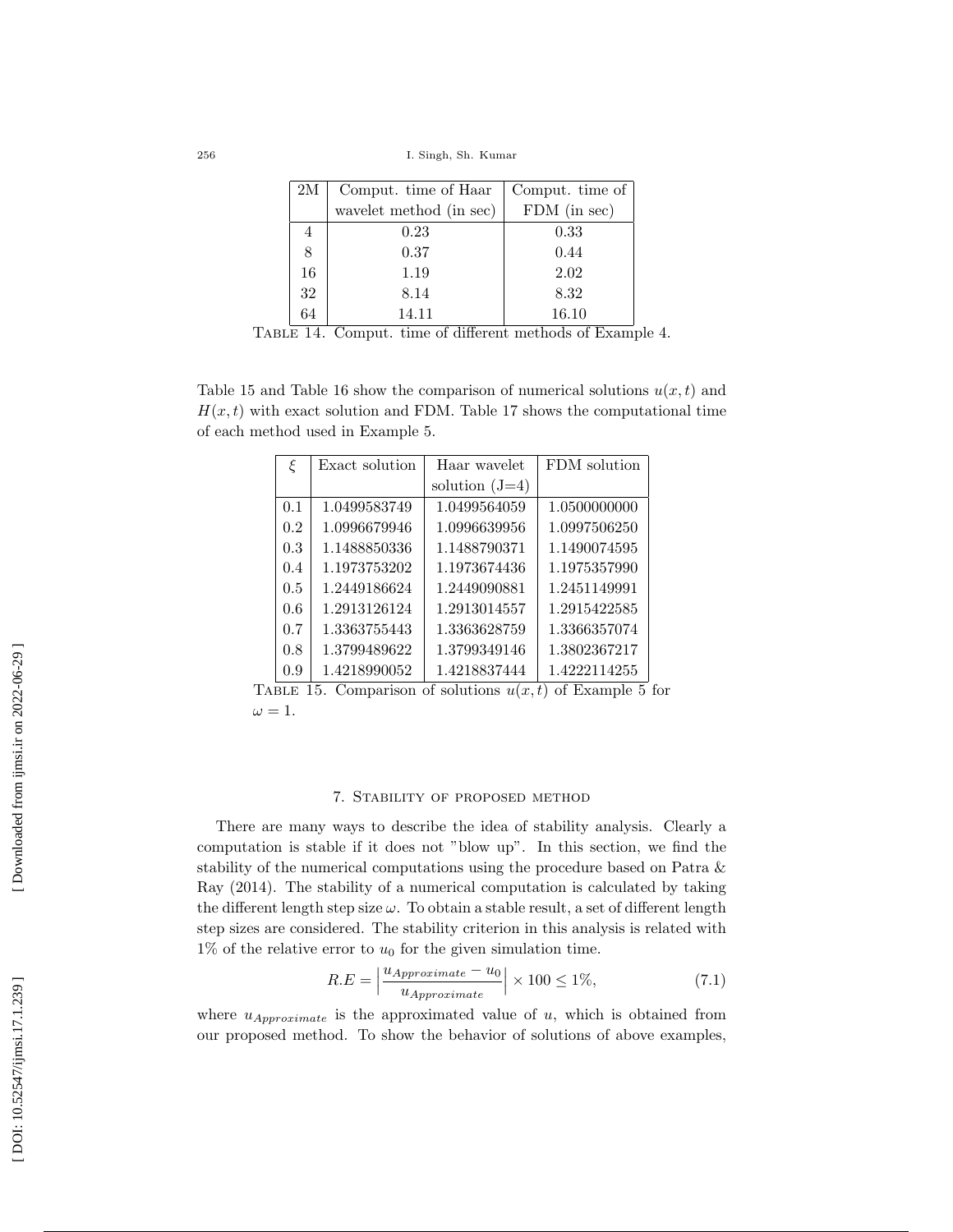256 I. Singh, Sh. Kumar

| 2M | Comput. time of Haar    | Comput. time of |
|----|-------------------------|-----------------|
|    | wavelet method (in sec) | FDM (in sec)    |
|    | 0.23                    | 0.33            |
|    | 0.37                    | 0.44            |
| 16 | 1.19                    | 2.02            |
| 32 | 8.14                    | 8.32            |
| 64 | 14.11                   | 16.10           |

Table 14. Comput. time of different methods of Example 4.

Table 15 and Table 16 show the comparison of numerical solutions  $u(x, t)$  and  $H(x, t)$  with exact solution and FDM. Table 17 shows the computational time of each method used in Example 5.

| ξ   | Exact solution | Haar wavelet     | FDM solution |
|-----|----------------|------------------|--------------|
|     |                | solution $(J=4)$ |              |
| 0.1 | 1.0499583749   | 1.0499564059     | 1.0500000000 |
| 0.2 | 1.0996679946   | 1.0996639956     | 1.0997506250 |
| 0.3 | 1.1488850336   | 1.1488790371     | 1.1490074595 |
| 0.4 | 1.1973753202   | 1.1973674436     | 1.1975357990 |
| 0.5 | 1.2449186624   | 1.2449090881     | 1.2451149991 |
| 0.6 | 1.2913126124   | 1.2913014557     | 1.2915422585 |
| 0.7 | 1.3363755443   | 1.3363628759     | 1.3366357074 |
| 0.8 | 1.3799489622   | 1.3799349146     | 1.3802367217 |
| 0.9 | 1.4218990052   | 1.4218837444     | 1.4222114255 |

TABLE 15. Comparison of solutions  $u(x,t)$  of Example 5 for  $\omega=1.$ 

## 7. Stability of proposed method

There are many ways to describe the idea of stability analysis. Clearly a computation is stable if it does not "blow up". In this section, we find the stability of the numerical computations using the procedure based on Patra & Ray (2014). The stability of a numerical computation is calculated by taking the different length step size  $\omega$ . To obtain a stable result, a set of different length step sizes are considered. The stability criterion in this analysis is related with  $1\%$  of the relative error to  $u_0$  for the given simulation time.

$$
R.E = \left| \frac{u_{Approximate} - u_0}{u_{Approximate}} \right| \times 100 \le 1\%,\tag{7.1}
$$

where  $u_{Approximate}$  is the approximated value of u, which is obtained from our proposed method. To show the behavior of solutions of above examples,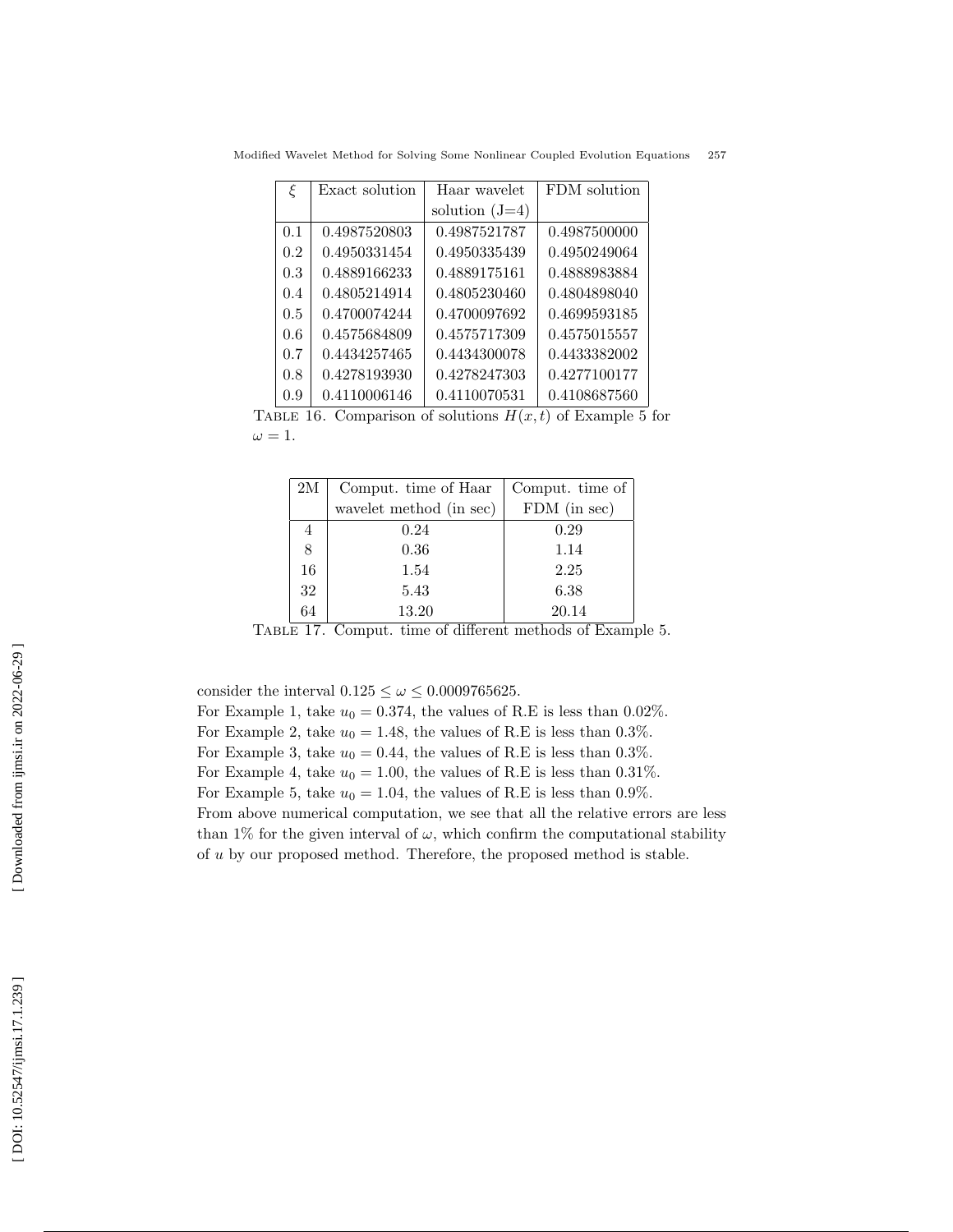| ξ   | Exact solution | Haar wavelet     | FDM solution |
|-----|----------------|------------------|--------------|
|     |                | solution $(J=4)$ |              |
| 0.1 | 0.4987520803   | 0.4987521787     | 0.4987500000 |
| 0.2 | 0.4950331454   | 0.4950335439     | 0.4950249064 |
| 0.3 | 0.4889166233   | 0.4889175161     | 0.4888983884 |
| 0.4 | 0.4805214914   | 0.4805230460     | 0.4804898040 |
| 0.5 | 0.4700074244   | 0.4700097692     | 0.4699593185 |
| 0.6 | 0.4575684809   | 0.4575717309     | 0.4575015557 |
| 0.7 | 0.4434257465   | 0.4434300078     | 0.4433382002 |
| 0.8 | 0.4278193930   | 0.4278247303     | 0.4277100177 |
| 0.9 | 0.4110006146   | 0.4110070531     | 0.4108687560 |

Modified Wavelet Method for Solving Some Nonlinear Coupled Evolution Equations 257

TABLE 16. Comparison of solutions  $H(x,t)$  of Example 5 for  $\omega = 1$ .

| 2M | Comput. time of Haar    | Comput. time of |
|----|-------------------------|-----------------|
|    | wavelet method (in sec) | FDM (in sec)    |
| 4  | 0.24                    | 0.29            |
|    | 0.36                    | 1.14            |
| 16 | 1.54                    | 2.25            |
| 32 | 5.43                    | 6.38            |
| 64 | 13.20                   | 20.14           |

Table 17. Comput. time of different methods of Example 5.

consider the interval  $0.125 \leq \omega \leq 0.0009765625$ .

For Example 1, take  $u_0 = 0.374$ , the values of R.E is less than 0.02%.

For Example 2, take  $u_0 = 1.48$ , the values of R.E is less than 0.3%.

For Example 3, take  $u_0 = 0.44$ , the values of R.E is less than 0.3%.

For Example 4, take  $u_0 = 1.00$ , the values of R.E is less than 0.31%.

For Example 5, take  $u_0 = 1.04$ , the values of R.E is less than 0.9%.

From above numerical computation, we see that all the relative errors are less than 1% for the given interval of  $\omega$ , which confirm the computational stability of u by our proposed method. Therefore, the proposed method is stable.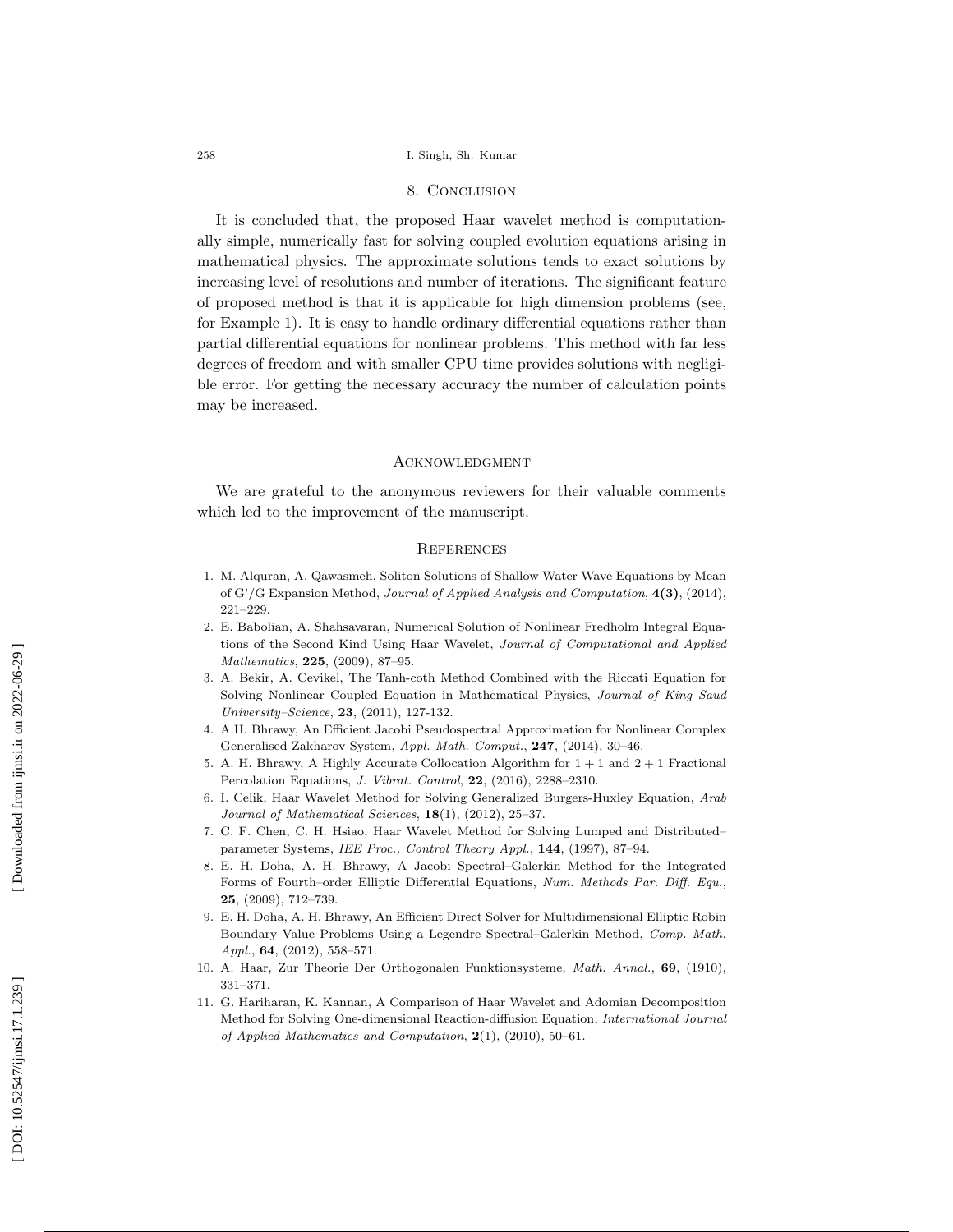#### 258 I. Singh, Sh. Kumar

### 8. CONCLUSION

It is concluded that, the proposed Haar wavelet method is computationally simple, numerically fast for solving coupled evolution equations arising in mathematical physics. The approximate solutions tends to exact solutions by increasing level of resolutions and number of iterations. The significant feature of proposed method is that it is applicable for high dimension problems (see, for Example 1). It is easy to handle ordinary differential equations rather than partial differential equations for nonlinear problems. This method with far less degrees of freedom and with smaller CPU time provides solutions with negligible error. For getting the necessary accuracy the number of calculation points may be increased.

### **ACKNOWLEDGMENT**

We are grateful to the anonymous reviewers for their valuable comments which led to the improvement of the manuscript.

#### **REFERENCES**

- 1. M. Alquran, A. Qawasmeh, Soliton Solutions of Shallow Water Wave Equations by Mean of G'/G Expansion Method, Journal of Applied Analysis and Computation,  $4(3)$ , (2014), 221–229.
- 2. E. Babolian, A. Shahsavaran, Numerical Solution of Nonlinear Fredholm Integral Equations of the Second Kind Using Haar Wavelet, Journal of Computational and Applied Mathematics, 225, (2009), 87-95.
- 3. A. Bekir, A. Cevikel, The Tanh-coth Method Combined with the Riccati Equation for Solving Nonlinear Coupled Equation in Mathematical Physics, Journal of King Saud University–Science, **23**, (2011), 127-132.
- 4. A.H. Bhrawy, An Efficient Jacobi Pseudospectral Approximation for Nonlinear Complex Generalised Zakharov System, Appl. Math. Comput., 247, (2014), 30-46.
- 5. A. H. Bhrawy, A Highly Accurate Collocation Algorithm for  $1 + 1$  and  $2 + 1$  Fractional Percolation Equations, *J. Vibrat. Control*, **22**, (2016), 2288-2310.
- 6. I. Celik, Haar Wavelet Method for Solving Generalized Burgers-Huxley Equation, Arab Journal of Mathematical Sciences, 18(1), (2012), 25-37.
- 7. C. F. Chen, C. H. Hsiao, Haar Wavelet Method for Solving Lumped and Distributed– parameter Systems, IEE Proc., Control Theory Appl., 144, (1997), 87-94.
- 8. E. H. Doha, A. H. Bhrawy, A Jacobi Spectral–Galerkin Method for the Integrated Forms of Fourth–order Elliptic Differential Equations, Num. Methods Par. Diff. Equ., 25, (2009), 712–739.
- 9. E. H. Doha, A. H. Bhrawy, An Efficient Direct Solver for Multidimensional Elliptic Robin Boundary Value Problems Using a Legendre Spectral–Galerkin Method, Comp. Math. Appl., **64**, (2012), 558-571.
- 10. A. Haar, Zur Theorie Der Orthogonalen Funktionsysteme, Math. Annal. , 69, (1910), 331–371.
- 11. G. Hariharan, K. Kannan, A Comparison of Haar Wavelet and Adomian Decomposition Method for Solving One-dimensional Reaction-diffusion Equation, International Journal of Applied Mathematics and Computation,  $2(1)$ ,  $(2010)$ , 50-61.